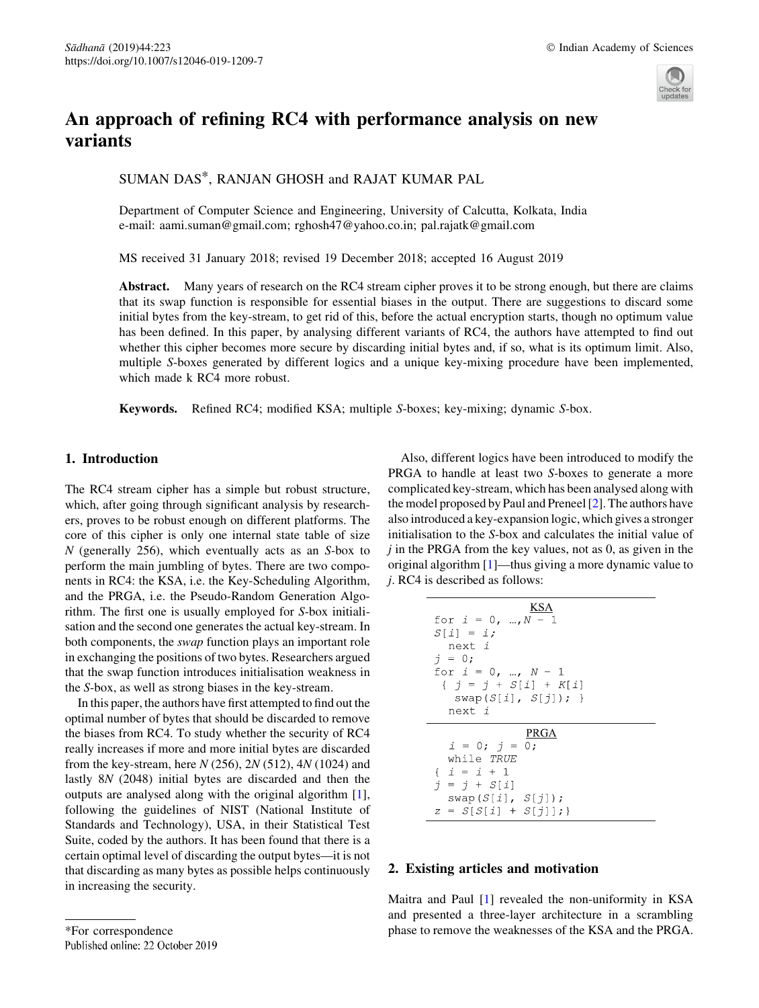

# An approach of refining RC4 with performance analysis on new variants

SUMAN DAS\*, RANJAN GHOSH and RAJAT KUMAR PAL

Department of Computer Science and Engineering, University of Calcutta, Kolkata, India e-mail: aami.suman@gmail.com; rghosh47@yahoo.co.in; pal.rajatk@gmail.com

MS received 31 January 2018; revised 19 December 2018; accepted 16 August 2019

Abstract. Many years of research on the RC4 stream cipher proves it to be strong enough, but there are claims that its swap function is responsible for essential biases in the output. There are suggestions to discard some initial bytes from the key-stream, to get rid of this, before the actual encryption starts, though no optimum value has been defined. In this paper, by analysing different variants of RC4, the authors have attempted to find out whether this cipher becomes more secure by discarding initial bytes and, if so, what is its optimum limit. Also, multiple *S*-boxes generated by different logics and a unique key-mixing procedure have been implemented, which made k RC4 more robust.

Keywords. Refined RC4; modified KSA; multiple *S*-boxes; key-mixing; dynamic *S*-box.

## 1. Introduction

The RC4 stream cipher has a simple but robust structure, which, after going through significant analysis by researchers, proves to be robust enough on different platforms. The core of this cipher is only one internal state table of size *N* (generally 256), which eventually acts as an *S*-box to perform the main jumbling of bytes. There are two components in RC4: the KSA, i.e. the Key-Scheduling Algorithm, and the PRGA, i.e. the Pseudo-Random Generation Algorithm. The first one is usually employed for *S*-box initialisation and the second one generates the actual key-stream. In both components, the *swap* function plays an important role in exchanging the positions of two bytes. Researchers argued that the swap function introduces initialisation weakness in the *S*-box, as well as strong biases in the key-stream.

In this paper, the authors have first attempted to find out the optimal number of bytes that should be discarded to remove the biases from RC4. To study whether the security of RC4 really increases if more and more initial bytes are discarded from the key-stream, here *N* (256), 2*N* (512), 4*N* (1024) and lastly 8*N* (2048) initial bytes are discarded and then the outputs are analysed along with the original algorithm [1], following the guidelines of NIST (National Institute of Standards and Technology), USA, in their Statistical Test Suite, coded by the authors. It has been found that there is a certain optimal level of discarding the output bytes—it is not that discarding as many bytes as possible helps continuously in increasing the security.

Also, different logics have been introduced to modify the PRGA to handle at least two *S*-boxes to generate a more complicated key-stream, which has been analysed along with the model proposed by Paul and Preneel [2]. The authors have also introduced a key-expansion logic, which gives a stronger initialisation to the *S*-box and calculates the initial value of *j* in the PRGA from the key values, not as 0, as given in the original algorithm [1]—thus giving a more dynamic value to *j*. RC4 is described as follows:

| <b>KSA</b><br>for $i = 0, , N - 1$<br>$S[i] = i;$<br>next i<br>$\dot{\tau} = 0$ ;<br>for $i = 0, , N - 1$<br>$\{ \quad \dot{\gamma} = \dot{\gamma} + S[\dot{\iota}] + K[\dot{\iota}] \}$<br>swap( $S[i]$ , $S[j]$ ); }<br>next i |
|----------------------------------------------------------------------------------------------------------------------------------------------------------------------------------------------------------------------------------|
| PRGA<br>$i = 0; j = 0;$<br>while TRUE<br>$i = i + 1$<br>$\dot{7} = \dot{7} + S[\dot{1}]$<br>swap(S[i], S[j])<br>$z = S[S[i] + S[j]]$                                                                                             |

## 2. Existing articles and motivation

Maitra and Paul [1] revealed the non-uniformity in KSA and presented a three-layer architecture in a scrambling \*For correspondence phase to remove the weaknesses of the KSA and the PRGA.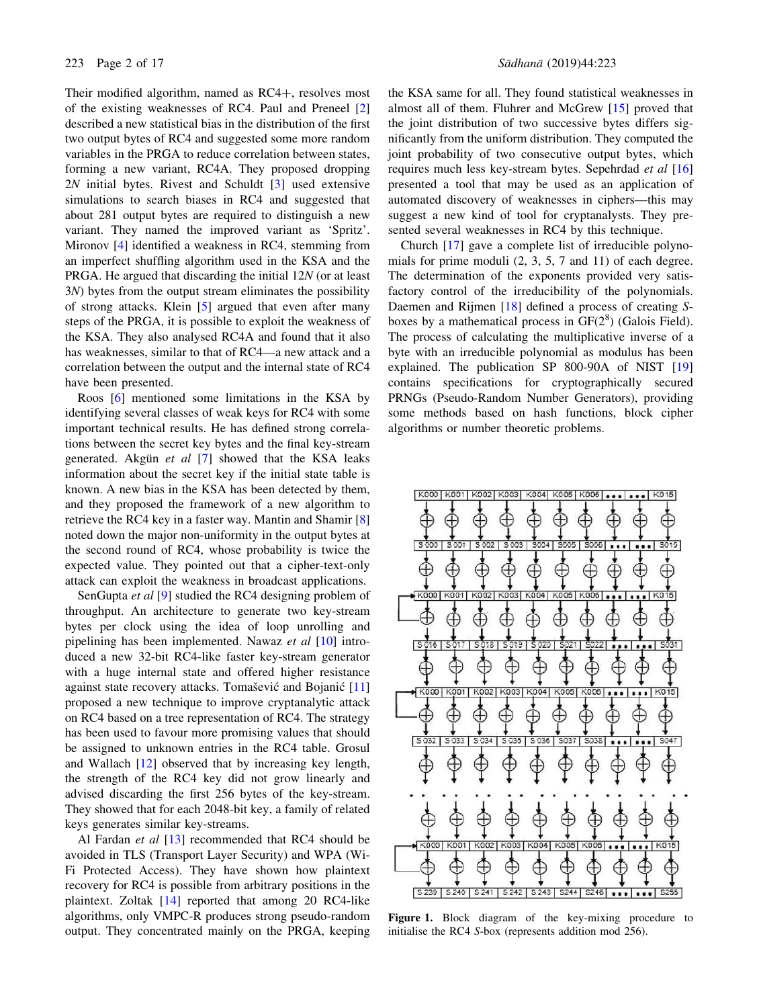Their modified algorithm, named as  $RC4+$ , resolves most of the existing weaknesses of RC4. Paul and Preneel [2] described a new statistical bias in the distribution of the first two output bytes of RC4 and suggested some more random variables in the PRGA to reduce correlation between states, forming a new variant, RC4A. They proposed dropping 2*N* initial bytes. Rivest and Schuldt [3] used extensive simulations to search biases in RC4 and suggested that about 281 output bytes are required to distinguish a new variant. They named the improved variant as 'Spritz'. Mironov [4] identified a weakness in RC4, stemming from an imperfect shuffling algorithm used in the KSA and the PRGA. He argued that discarding the initial 12*N* (or at least 3*N*) bytes from the output stream eliminates the possibility of strong attacks. Klein [5] argued that even after many steps of the PRGA, it is possible to exploit the weakness of the KSA. They also analysed RC4A and found that it also has weaknesses, similar to that of RC4—a new attack and a correlation between the output and the internal state of RC4 have been presented.

Roos [6] mentioned some limitations in the KSA by identifying several classes of weak keys for RC4 with some important technical results. He has defined strong correlations between the secret key bytes and the final key-stream generated. Akgün *et al* [7] showed that the KSA leaks information about the secret key if the initial state table is known. A new bias in the KSA has been detected by them, and they proposed the framework of a new algorithm to retrieve the RC4 key in a faster way. Mantin and Shamir [8] noted down the major non-uniformity in the output bytes at the second round of RC4, whose probability is twice the expected value. They pointed out that a cipher-text-only attack can exploit the weakness in broadcast applications.

SenGupta *et al* [9] studied the RC4 designing problem of throughput. An architecture to generate two key-stream bytes per clock using the idea of loop unrolling and pipelining has been implemented. Nawaz *et al* [10] introduced a new 32-bit RC4-like faster key-stream generator with a huge internal state and offered higher resistance against state recovery attacks. Tomašević and Bojanić [11] proposed a new technique to improve cryptanalytic attack on RC4 based on a tree representation of RC4. The strategy has been used to favour more promising values that should be assigned to unknown entries in the RC4 table. Grosul and Wallach [12] observed that by increasing key length, the strength of the RC4 key did not grow linearly and advised discarding the first 256 bytes of the key-stream. They showed that for each 2048-bit key, a family of related keys generates similar key-streams.

Al Fardan *et al* [13] recommended that RC4 should be avoided in TLS (Transport Layer Security) and WPA (Wi-Fi Protected Access). They have shown how plaintext recovery for RC4 is possible from arbitrary positions in the plaintext. Zoltak [14] reported that among 20 RC4-like algorithms, only VMPC-R produces strong pseudo-random output. They concentrated mainly on the PRGA, keeping

the KSA same for all. They found statistical weaknesses in almost all of them. Fluhrer and McGrew [15] proved that the joint distribution of two successive bytes differs significantly from the uniform distribution. They computed the joint probability of two consecutive output bytes, which requires much less key-stream bytes. Sepehrdad *et al* [16] presented a tool that may be used as an application of automated discovery of weaknesses in ciphers—this may suggest a new kind of tool for cryptanalysts. They presented several weaknesses in RC4 by this technique.

Church [17] gave a complete list of irreducible polynomials for prime moduli (2, 3, 5, 7 and 11) of each degree. The determination of the exponents provided very satisfactory control of the irreducibility of the polynomials. Daemen and Rijmen [18] defined a process of creating *S*boxes by a mathematical process in  $GF(2^8)$  (Galois Field). The process of calculating the multiplicative inverse of a byte with an irreducible polynomial as modulus has been explained. The publication SP 800-90A of NIST [19] contains specifications for cryptographically secured PRNGs (Pseudo-Random Number Generators), providing some methods based on hash functions, block cipher algorithms or number theoretic problems.



Figure 1. Block diagram of the key-mixing procedure to initialise the RC4 *S*-box (represents addition mod 256).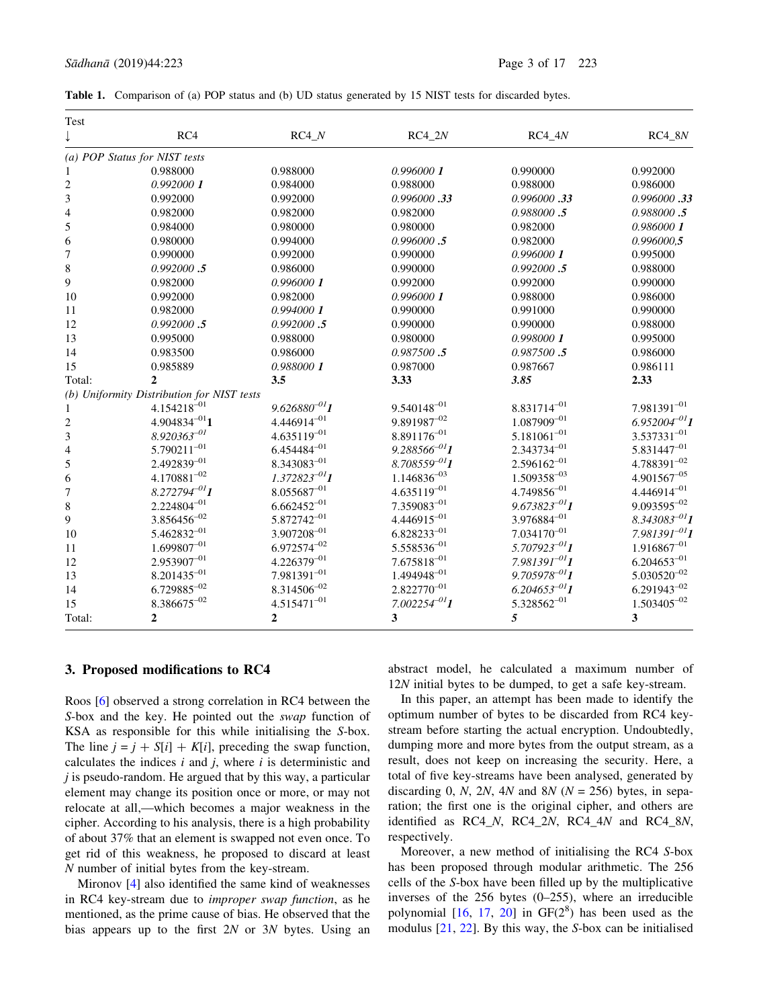|  |  |  |  |  |  |  |  |  | Table 1. Comparison of (a) POP status and (b) UD status generated by 15 NIST tests for discarded bytes. |
|--|--|--|--|--|--|--|--|--|---------------------------------------------------------------------------------------------------------|
|--|--|--|--|--|--|--|--|--|---------------------------------------------------------------------------------------------------------|

| Test           |                                            |                           |                    |                           |                           |
|----------------|--------------------------------------------|---------------------------|--------------------|---------------------------|---------------------------|
| ↓              | RC4                                        | $RC4$ $N$                 | $RC4_2N$           | $RC4_4N$                  | $RC4\_8N$                 |
|                | (a) POP Status for NIST tests              |                           |                    |                           |                           |
| 1              | 0.988000                                   | 0.988000                  | 0.996000 1         | 0.990000                  | 0.992000                  |
| 2              | 0.992000 1                                 | 0.984000                  | 0.988000           | 0.988000                  | 0.986000                  |
| 3              | 0.992000                                   | 0.992000                  | 0.996000.33        | 0.996000.33               | 0.996000.33               |
| 4              | 0.982000                                   | 0.982000                  | 0.982000           | 0.988000.5                | 0.988000.5                |
| 5              | 0.984000                                   | 0.980000                  | 0.980000           | 0.982000                  | 0.9860001                 |
| 6              | 0.980000                                   | 0.994000                  | 0.996000.5         | 0.982000                  | 0.996000,5                |
| 7              | 0.990000                                   | 0.992000                  | 0.990000           | 0.9960001                 | 0.995000                  |
| 8              | 0.992000.5                                 | 0.986000                  | 0.990000           | 0.992000.5                | 0.988000                  |
| 9              | 0.982000                                   | 0.996000 1                | 0.992000           | 0.992000                  | 0.990000                  |
| 10             | 0.992000                                   | 0.982000                  | 0.996000 1         | 0.988000                  | 0.986000                  |
| 11             | 0.982000                                   | 0.994000 1                | 0.990000           | 0.991000                  | 0.990000                  |
| 12             | 0.992000.5                                 | 0.992000.5                | 0.990000           | 0.990000                  | 0.988000                  |
| 13             | 0.995000                                   | 0.988000                  | 0.980000           | 0.9980001                 | 0.995000                  |
| 14             | 0.983500                                   | 0.986000                  | 0.987500.5         | 0.987500.5                | 0.986000                  |
| 15             | 0.985889                                   | 0.988000 1                | 0.987000           | 0.987667                  | 0.986111                  |
| Total:         | $\mathbf{2}$                               | 3.5                       | 3.33               | 3.85                      | 2.33                      |
|                | (b) Uniformity Distribution for NIST tests |                           |                    |                           |                           |
| 1              | $4.154218^{-01}$                           | $9.626880^{-01}$ <b>I</b> | $9.540148^{-01}$   | 8.831714 <sup>-01</sup>   | $7.981391^{-01}$          |
| $\overline{c}$ | $4.904834^{-01}$                           | $4.446914^{-01}$          | $9.891987^{-02}$   | $1.087909^{-01}$          | 6.952004 <sup>-01</sup> 1 |
| 3              | $8.920363^{-01}$                           | $4.635119^{-01}$          | $8.891176^{-01}$   | $5.181061^{-01}$          | $3.537331^{-01}$          |
| 4              | $5.790211^{-01}$                           | $6.454484^{-01}$          | $9.288566^{-01}$   | $2.343734^{-01}$          | $5.831447^{-01}$          |
| 5              | $2.492839^{-01}$                           | $8.343083^{-01}$          | $8.708559^{-01}$ 1 | $2.596162^{-01}$          | $4.788391^{-02}$          |
| 6              | $4.170881^{-02}$                           | $1.372823^{-01}$ <b>1</b> | $1.146836^{-03}$   | $1.509358^{-03}$          | $4.901567^{-05}$          |
| 7              | 8.272794 <sup>-01</sup> 1                  | $8.055687^{-01}$          | $4.635119^{-01}$   | $4.749856^{-01}$          | $4.446914^{-01}$          |
| 8              | $2.224804^{-01}$                           | $6.662452^{-01}$          | $7.359083^{-01}$   | $9.673823^{-01}$          | $9.093595^{-02}$          |
| 9              | $3.856456^{-02}$                           | $5.872742^{-01}$          | $4.446915^{-01}$   | $3.976884^{-01}$          | $8.343083^{-01}$ <b>1</b> |
| 10             | $5.462832^{-01}$                           | $3.907208^{-01}$          | $6.828233^{-01}$   | $7.034170^{-01}$          | $7.981391^{-01}$ 1        |
| 11             | $1.699807^{-01}$                           | $6.972574^{-02}$          | $5.558536^{-01}$   | $5.707923^{-01}$          | $1.916867^{-01}$          |
| 12             | $2.953907^{-01}$                           | $4.226379^{-01}$          | $7.675818^{-01}$   | $7.981391^{-01}$ 1        | $6.204653^{-01}$          |
| 13             | $8.201435^{-01}$                           | $7.981391^{-01}$          | $1.494948^{-01}$   | $9.705978^{-01}$ <b>1</b> | $5.030520^{-02}$          |
| 14             | $6.729885^{-02}$                           | $8.314506^{-02}$          | $2.822770^{-01}$   | $6.204653^{-01}$ <b>1</b> | $6.291943^{-02}$          |
| 15             | $8.386675^{-02}$                           | $4.515471^{-01}$          | $7.002254^{-01}$   | $5.328562^{-01}$          | $1.503405^{-02}$          |
| Total:         | $\overline{2}$                             | $\overline{2}$            | 3                  | 5                         | 3                         |

## 3. Proposed modifications to RC4

Roos [6] observed a strong correlation in RC4 between the *S*-box and the key. He pointed out the *swap* function of KSA as responsible for this while initialising the *S*-box. The line  $j = j + S[i] + K[i]$ , preceding the swap function, calculates the indices *i* and *j*, where *i* is deterministic and *j* is pseudo-random. He argued that by this way, a particular element may change its position once or more, or may not relocate at all,—which becomes a major weakness in the cipher. According to his analysis, there is a high probability of about 37% that an element is swapped not even once. To get rid of this weakness, he proposed to discard at least *N* number of initial bytes from the key-stream.

Mironov [4] also identified the same kind of weaknesses in RC4 key-stream due to *improper swap function*, as he mentioned, as the prime cause of bias. He observed that the bias appears up to the first 2*N* or 3*N* bytes. Using an abstract model, he calculated a maximum number of 12*N* initial bytes to be dumped, to get a safe key-stream.

In this paper, an attempt has been made to identify the optimum number of bytes to be discarded from RC4 keystream before starting the actual encryption. Undoubtedly, dumping more and more bytes from the output stream, as a result, does not keep on increasing the security. Here, a total of five key-streams have been analysed, generated by discarding 0, *N*, 2*N*, 4*N* and 8*N* (*N* = 256) bytes, in separation; the first one is the original cipher, and others are identified as RC4\_*N*, RC4\_2*N*, RC4\_4*N* and RC4\_8*N*, respectively.

Moreover, a new method of initialising the RC4 *S*-box has been proposed through modular arithmetic. The 256 cells of the *S*-box have been filled up by the multiplicative inverses of the 256 bytes (0–255), where an irreducible polynomial  $[16, 17, 20]$  in  $GF(2<sup>8</sup>)$  has been used as the modulus [21, 22]. By this way, the *S*-box can be initialised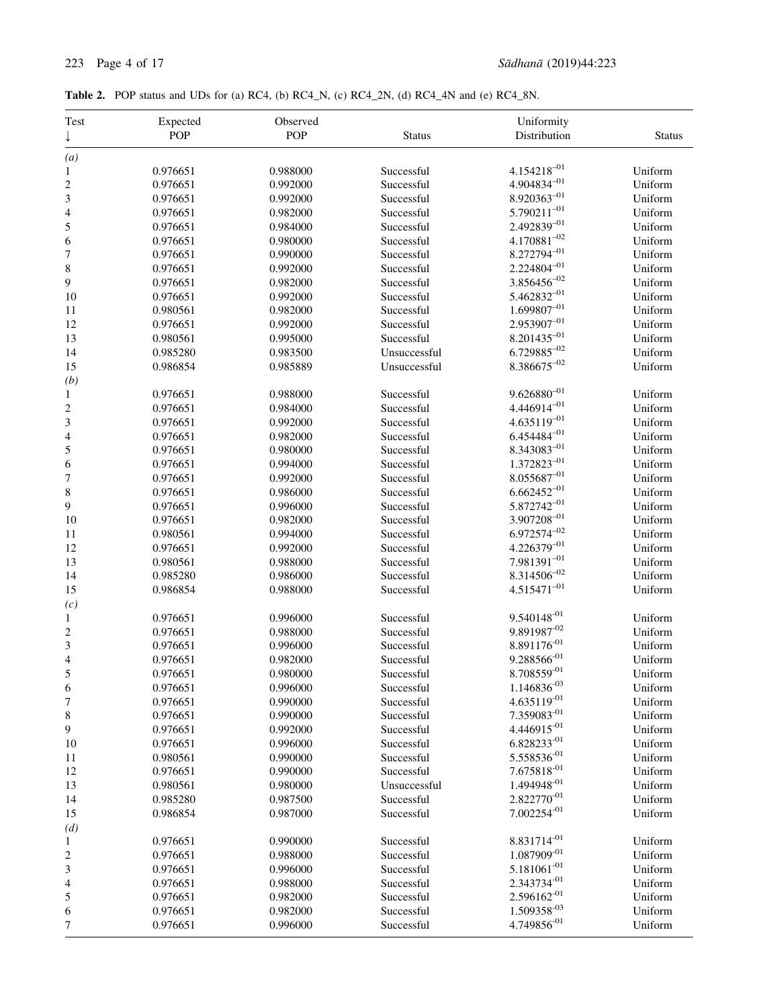|  | <b>Table 2.</b> POP status and UDs for (a) RC4, (b) RC4_N, (c) RC4_2N, (d) RC4_4N and (e) RC4_8N. |  |  |  |  |  |  |  |  |  |
|--|---------------------------------------------------------------------------------------------------|--|--|--|--|--|--|--|--|--|
|--|---------------------------------------------------------------------------------------------------|--|--|--|--|--|--|--|--|--|

| Test                     | Expected             | Observed             |                          | Uniformity                           |                    |
|--------------------------|----------------------|----------------------|--------------------------|--------------------------------------|--------------------|
|                          | <b>POP</b>           | <b>POP</b>           | <b>Status</b>            | Distribution                         | <b>Status</b>      |
|                          |                      |                      |                          |                                      |                    |
| (a)                      |                      |                      |                          | $4.154218^{-01}$                     |                    |
| $\mathbf{1}$             | 0.976651             | 0.988000             | Successful<br>Successful | $4.904834^{-01}$                     | Uniform            |
| $\overline{\mathbf{c}}$  | 0.976651             | 0.992000<br>0.992000 |                          | $8.920363^{-01}$                     | Uniform            |
| $\overline{\mathbf{3}}$  | 0.976651             |                      | Successful               | $5.790211^{-01}$                     | Uniform            |
| $\overline{\mathcal{L}}$ | 0.976651             | 0.982000             | Successful               | $2.492839^{-01}$                     | Uniform            |
| 5                        | 0.976651             | 0.984000             | Successful               | $4.170881^{-02}$                     | Uniform            |
| 6                        | 0.976651             | 0.980000             | Successful               | $8.272794^{-01}$                     | Uniform            |
| $\boldsymbol{7}$         | 0.976651             | 0.990000             | Successful               | $2.224804^{-01}$                     | Uniform            |
| $\,$ 8 $\,$              | 0.976651             | 0.992000             | Successful               |                                      | Uniform            |
| 9                        | 0.976651             | 0.982000             | Successful               | $3.856456^{-02}$<br>$5.462832^{-01}$ | Uniform            |
| 10                       | 0.976651             | 0.992000             | Successful               | $1.699807^{-01}$                     | Uniform            |
| 11                       | 0.980561             | 0.982000             | Successful               | $2.953907^{-01}$                     | Uniform            |
| 12                       | 0.976651             | 0.992000             | Successful               | $8.201435^{-01}$                     | Uniform            |
| 13                       | 0.980561             | 0.995000             | Successful               | $6.729885^{-02}$                     | Uniform            |
| 14                       | 0.985280             | 0.983500             | Unsuccessful             | $8.386675^{-02}$                     | Uniform            |
| 15                       | 0.986854             | 0.985889             | Unsuccessful             |                                      | Uniform            |
| (b)                      |                      |                      |                          | $9.626880^{-01}$                     |                    |
| $\mathbf{1}$             | 0.976651             | 0.988000<br>0.984000 | Successful               | $4.446914^{-01}$                     | Uniform            |
| $\boldsymbol{2}$         | 0.976651             |                      | Successful               | $4.635119^{-01}$                     | Uniform            |
| $\mathfrak{Z}$           | 0.976651             | 0.992000             | Successful               | $6.454484^{-01}$                     | Uniform            |
| $\overline{\mathcal{L}}$ | 0.976651             | 0.982000             | Successful               | $8.343083^{-01}$                     | Uniform            |
| 5                        | 0.976651             | 0.980000             | Successful               | $1.372823^{-01}$                     | Uniform            |
| 6                        | 0.976651             | 0.994000             | Successful               | $8.055687^{-01}$                     | Uniform            |
| $\overline{7}$           | 0.976651             | 0.992000             | Successful               | $6.662452^{-01}$                     | Uniform            |
| $\,$ 8 $\,$              | 0.976651             | 0.986000             | Successful               | $5.872742^{-01}$                     | Uniform            |
| 9                        | 0.976651             | 0.996000             | Successful<br>Successful | $3.907208^{-01}$                     | Uniform            |
| 10                       | 0.976651             | 0.982000             |                          | $6.972574^{-02}$                     | Uniform            |
| 11                       | 0.980561             | 0.994000             | Successful               | $4.226379^{-01}$                     | Uniform            |
| 12                       | 0.976651             | 0.992000             | Successful               | $7.981391^{-01}$                     | Uniform            |
| 13                       | 0.980561             | 0.988000             | Successful               | $8.314506^{-02}$                     | Uniform            |
| 14                       | 0.985280<br>0.986854 | 0.986000<br>0.988000 | Successful               | $4.515471^{-01}$                     | Uniform            |
| 15                       |                      |                      | Successful               |                                      | Uniform            |
| (c)                      |                      |                      |                          | $9.540148^{-01}$                     |                    |
| $\mathbf{1}$             | 0.976651<br>0.976651 | 0.996000<br>0.988000 | Successful               | 9.891987-02                          | Uniform            |
| $\overline{\mathbf{c}}$  |                      | 0.996000             | Successful               | 8.891176 <sup>-01</sup>              | Uniform            |
| $\sqrt{3}$               | 0.976651<br>0.976651 | 0.982000             | Successful<br>Successful | $9.288566^{-01}$                     | Uniform            |
| 4<br>5                   | 0.976651             | 0.980000             | Successful               | $8.708559^{-01}$                     | Uniform            |
|                          | 0.976651             | 0.996000             | Successful               | $1.146836^{-03}$                     | Uniform<br>Uniform |
| 6                        |                      |                      |                          | $4.635119^{-01}$                     | Uniform            |
| $\tau$                   | 0.976651<br>0.976651 | 0.990000             | Successful               | 7.359083-01                          |                    |
| $\,8\,$                  | 0.976651             | 0.990000<br>0.992000 | Successful<br>Successful | $4.446915^{-01}$                     | Uniform            |
| 9                        |                      | 0.996000             | Successful               | $6.828233^{-01}$                     | Uniform            |
| 10                       | 0.976651<br>0.980561 | 0.990000             | Successful               | 5.558536-01                          | Uniform<br>Uniform |
| 11                       | 0.976651             | 0.990000             | Successful               | $7.675818^{-01}$                     |                    |
| 12                       |                      |                      |                          | $1.494948^{-01}$                     | Uniform            |
| 13                       | 0.980561             | 0.980000             | Unsuccessful             | $2.822770^{\text{-}01}$              | Uniform            |
| 14                       | 0.985280             | 0.987500             | Successful               | $7.002254^{-01}$                     | Uniform            |
| 15                       | 0.986854             | 0.987000             | Successful               |                                      | Uniform            |
| (d)                      |                      |                      |                          | 8.831714 <sup>-01</sup>              |                    |
| 1                        | 0.976651             | 0.990000             | Successful               | $1.087909^{-01}$                     | Uniform            |
| $\boldsymbol{2}$         | 0.976651             | 0.988000             | Successful               | $5.181061^{-01}$                     | Uniform            |
| $\sqrt{3}$               | 0.976651             | 0.996000             | Successful               | 2.343734-01                          | Uniform            |
| 4                        | 0.976651             | 0.988000             | Successful               | $2.596162^{-01}$                     | Uniform            |
| 5                        | 0.976651             | 0.982000             | Successful               | $1.509358^{-03}$                     | Uniform            |
| 6                        | 0.976651             | 0.982000             | Successful               |                                      | Uniform            |
| $\boldsymbol{7}$         | 0.976651             | 0.996000             | Successful               | $4.749856^{-01}$                     | Uniform            |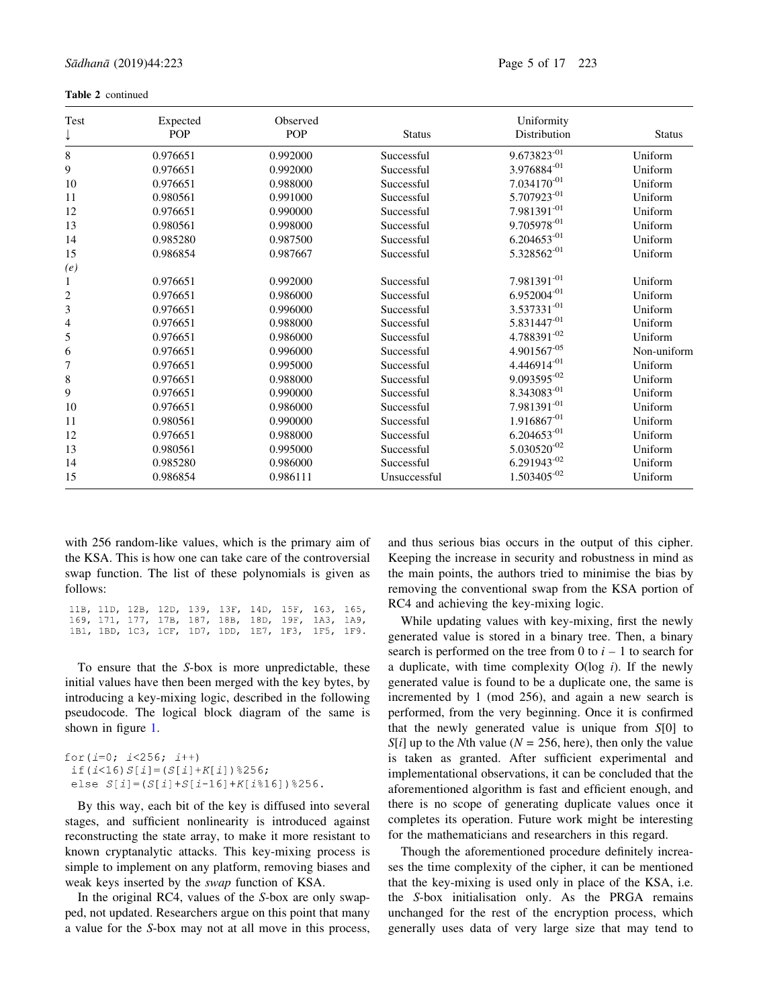Table 2 continued

| Expected<br>Test |          | Observed   |               | Uniformity              |               |  |  |  |
|------------------|----------|------------|---------------|-------------------------|---------------|--|--|--|
| ↓                | POP      | <b>POP</b> | <b>Status</b> | Distribution            | <b>Status</b> |  |  |  |
| 8                | 0.976651 | 0.992000   | Successful    | $9.673823^{-01}$        | Uniform       |  |  |  |
| 9                | 0.976651 | 0.992000   | Successful    | 3.976884-01             | Uniform       |  |  |  |
| 10               | 0.976651 | 0.988000   | Successful    | $7.034170^{-01}$        | Uniform       |  |  |  |
| 11               | 0.980561 | 0.991000   | Successful    | $5.707923^{-01}$        | Uniform       |  |  |  |
| 12               | 0.976651 | 0.990000   | Successful    | 7.981391-01             | Uniform       |  |  |  |
| 13               | 0.980561 | 0.998000   | Successful    | 9.705978-01             | Uniform       |  |  |  |
| 14               | 0.985280 | 0.987500   | Successful    | $6.204653^{-01}$        | Uniform       |  |  |  |
| 15               | 0.986854 | 0.987667   | Successful    | $5.328562^{-01}$        | Uniform       |  |  |  |
| (e)              |          |            |               |                         |               |  |  |  |
| 1                | 0.976651 | 0.992000   | Successful    | 7.981391 <sup>-01</sup> | Uniform       |  |  |  |
| 2                | 0.976651 | 0.986000   | Successful    | $6.952004^{-01}$        | Uniform       |  |  |  |
| 3                | 0.976651 | 0.996000   | Successful    | $3.537331^{01}$         | Uniform       |  |  |  |
| 4                | 0.976651 | 0.988000   | Successful    | 5.831447 <sup>-01</sup> | Uniform       |  |  |  |
| 5                | 0.976651 | 0.986000   | Successful    | 4.788391-02             | Uniform       |  |  |  |
| 6                | 0.976651 | 0.996000   | Successful    | $4.901567^{-05}$        | Non-uniform   |  |  |  |
| 7                | 0.976651 | 0.995000   | Successful    | 4.446914 <sup>-01</sup> | Uniform       |  |  |  |
| 8                | 0.976651 | 0.988000   | Successful    | $9.093595^{02}$         | Uniform       |  |  |  |
| 9                | 0.976651 | 0.990000   | Successful    | 8.343083-01             | Uniform       |  |  |  |
| 10               | 0.976651 | 0.986000   | Successful    | 7.981391 <sup>-01</sup> | Uniform       |  |  |  |
| 11               | 0.980561 | 0.990000   | Successful    | 1.916867-01             | Uniform       |  |  |  |
| 12               | 0.976651 | 0.988000   | Successful    | $6.204653^{01}$         | Uniform       |  |  |  |
| 13               | 0.980561 | 0.995000   | Successful    | $5.030520^{-02}$        | Uniform       |  |  |  |
| 14               | 0.985280 | 0.986000   | Successful    | $6.291943^{02}$         | Uniform       |  |  |  |
| 15               | 0.986854 | 0.986111   | Unsuccessful  | $1.503405^{-02}$        | Uniform       |  |  |  |

with 256 random-like values, which is the primary aim of the KSA. This is how one can take care of the controversial swap function. The list of these polynomials is given as follows:

|  |  |  | 11B, 11D, 12B, 12D, 139, 13F, 14D, 15F, 163, 165, |  |
|--|--|--|---------------------------------------------------|--|
|  |  |  | 169, 171, 177, 17B, 187, 18B, 18D, 19F, 1A3, 1A9, |  |
|  |  |  | 1B1, 1BD, 1C3, 1CF, 1D7, 1DD, 1E7, 1F3, 1F5, 1F9. |  |

To ensure that the *S*-box is more unpredictable, these initial values have then been merged with the key bytes, by introducing a key-mixing logic, described in the following pseudocode. The logical block diagram of the same is shown in figure 1.

```
for (i=0; i<256; i++)if (i<16) S[i] = (S[i]+K[i]) %256;
 else S[i] = (S[i]+S[i-16]+K[i*16]) %256.
```
By this way, each bit of the key is diffused into several stages, and sufficient nonlinearity is introduced against reconstructing the state array, to make it more resistant to known cryptanalytic attacks. This key-mixing process is simple to implement on any platform, removing biases and weak keys inserted by the *swap* function of KSA.

In the original RC4, values of the *S*-box are only swapped, not updated. Researchers argue on this point that many a value for the *S*-box may not at all move in this process,

and thus serious bias occurs in the output of this cipher. Keeping the increase in security and robustness in mind as the main points, the authors tried to minimise the bias by removing the conventional swap from the KSA portion of RC4 and achieving the key-mixing logic.

While updating values with key-mixing, first the newly generated value is stored in a binary tree. Then, a binary search is performed on the tree from 0 to  $i - 1$  to search for a duplicate, with time complexity O(log *i*). If the newly generated value is found to be a duplicate one, the same is incremented by 1 (mod 256), and again a new search is performed, from the very beginning. Once it is confirmed that the newly generated value is unique from *S*[0] to *S*[*] up to the <i>N*th value ( $N = 256$ , here), then only the value is taken as granted. After sufficient experimental and implementational observations, it can be concluded that the aforementioned algorithm is fast and efficient enough, and there is no scope of generating duplicate values once it completes its operation. Future work might be interesting for the mathematicians and researchers in this regard.

Though the aforementioned procedure definitely increases the time complexity of the cipher, it can be mentioned that the key-mixing is used only in place of the KSA, i.e. the *S*-box initialisation only. As the PRGA remains unchanged for the rest of the encryption process, which generally uses data of very large size that may tend to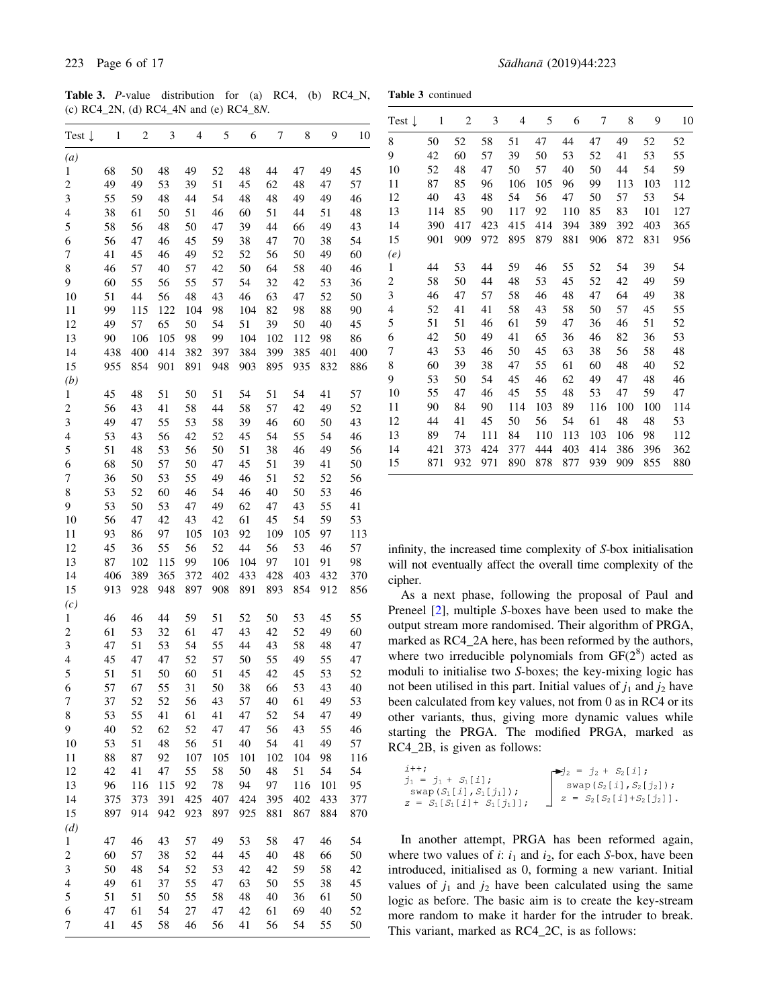Table 3 continued

Table 3. *P*-value distribution for (a) RC4, (b) RC4\_N, (c) RC4\_2N, (d) RC4\_4N and (e) RC4\_8*N*.

| Test $\downarrow$        | 1        | $\overline{c}$ | 3        | $\overline{4}$ | 5        | 6        | 7        | 8        | 9        | 10       |
|--------------------------|----------|----------------|----------|----------------|----------|----------|----------|----------|----------|----------|
| (a)                      |          |                |          |                |          |          |          |          |          |          |
| 1                        | 68       | 50             | 48       | 49             | 52       | 48       | 44       | 47       | 49       | 45       |
| $\overline{c}$           | 49       | 49             | 53       | 39             | 51       | 45       | 62       | 48       | 47       | 57       |
| 3                        | 55       | 59             | 48       | 44             | 54       | 48       | 48       | 49       | 49       | 46       |
| $\overline{\mathcal{L}}$ | 38       | 61             | 50       | 51             | 46       | 60       | 51       | 44       | 51       | 48       |
| 5                        | 58       | 56             | 48       | 50             | 47       | 39       | 44       | 66       | 49       | 43       |
| 6                        | 56       | 47             | 46       | 45             | 59       | 38       | 47       | 70       | 38       | 54       |
| 7                        | 41       | 45             | 46       | 49             | 52       | 52       | 56       | 50       | 49       | 60       |
| 8                        | 46       | 57             | 40       | 57             | 42       | 50       | 64       | 58       | 40       | 46       |
| 9                        | 60       | 55             | 56       | 55             | 57       | 54       | 32       | 42       | 53       | 36       |
| 10                       | 51       | 44             | 56       | 48             | 43       | 46       | 63       | 47       | 52       | 50       |
| 11                       | 99       | 115            | 122      | 104            | 98       | 104      | 82       | 98       | 88       | 90       |
| 12                       | 49       | 57             | 65       | 50             | 54       | 51       | 39       | 50       | 40       | 45       |
| 13                       | 90       | 106            | 105      | 98             | 99       | 104      | 102      | 112      | 98       | 86       |
| 14                       | 438      | 400            | 414      | 382            | 397      | 384      | 399      | 385      | 401      | 400      |
| 15                       | 955      | 854            | 901      | 891            | 948      | 903      | 895      | 935      | 832      | 886      |
| (b)                      |          |                |          |                |          |          |          |          |          |          |
| $\mathbf{1}$             | 45       | 48             | 51       | 50             | 51       | 54       | 51       | 54       | 41       | 57       |
| $\overline{\mathbf{c}}$  | 56       | 43             | 41       | 58             | 44       | 58       | 57       | 42       | 49       | 52       |
| 3                        | 49       | 47             | 55       | 53             | 58       | 39       | 46       | 60       | 50       | 43       |
| $\overline{\mathcal{L}}$ | 53       | 43             | 56       | 42             | 52       | 45       | 54       | 55       | 54       | 46       |
| 5                        | 51       | 48             | 53       | 56             | 50       | 51       | 38       | 46       | 49       | 56       |
| 6                        | 68       | 50             | 57       | 50             | 47       | 45       | 51       | 39       | 41       | 50       |
| 7                        | 36       | 50             | 53       | 55             | 49       | 46       | 51       | 52       | 52       | 56       |
| 8                        | 53       | 52             | 60       | 46             | 54       | 46       | 40       | 50       | 53       | 46       |
| 9                        | 53       | 50             | 53       | 47             | 49       | 62       | 47       | 43       | 55       | 41       |
| 10                       | 56       | 47             | 42       | 43             | 42       | 61       | 45       | 54       | 59       | 53       |
| 11                       | 93       | 86             | 97       | 105            | 103      | 92       | 109      | 105      | 97       | 113      |
| 12                       | 45       | 36             | 55       | 56             | 52       | 44       | 56       | 53       | 46       | 57       |
| 13                       | 87       | 102            | 115      | 99             | 106      | 104      | 97       | 101      | 91       | 98       |
| 14                       | 406      | 389            | 365      | 372            | 402      | 433      | 428      | 403      | 432      | 370      |
| 15                       | 913      | 928            | 948      | 897            | 908      | 891      | 893      | 854      | 912      | 856      |
| (c)                      |          |                |          |                |          |          |          |          |          |          |
| $\mathbf{1}$             | 46       | 46             | 44       | 59             | 51       | 52       | 50       | 53       | 45       | 55       |
| $\overline{\mathbf{c}}$  | 61       | 53             | 32       | 61             | 47       | 43       | 42       | 52       | 49       | 60       |
| 3                        | 47       | 51             | 53       | 54             | 55       | 44       | 43       | 58       | 48       | 47       |
| $\overline{4}$           | 45       | 47             | 47       | 52             | 57       | 50       | 55       | 49       | 55       | 47       |
| 5<br>6                   | 51<br>57 | 51<br>67       | 50<br>55 | 60             | 51<br>50 | 45<br>38 | 42       | 45<br>53 | 53<br>43 | 52<br>40 |
| 7                        | 37       | 52             | 52       | 31<br>56       | 43       | 57       | 66<br>40 | 61       | 49       | 53       |
| 8                        | 53       | 55             | 41       | 61             | 41       | 47       | 52       | 54       | 47       | 49       |
| 9                        | 40       | 52             | 62       | 52             | 47       | 47       | 56       | 43       | 55       | 46       |
| 10                       | 53       | 51             | 48       | 56             | 51       | 40       | 54       | 41       | 49       | 57       |
| 11                       | 88       | 87             | 92       | 107            | 105      | 101      | 102      | 104      | 98       | 116      |
| 12                       | 42       | 41             | 47       | 55             | 58       | 50       | 48       | 51       | 54       | 54       |
| 13                       | 96       | 116            | 115      | 92             | 78       | 94       | 97       | 116      | 101      | 95       |
| 14                       | 375      | 373            | 391      | 425            | 407      | 424      | 395      | 402      | 433      | 377      |
| 15                       | 897      | 914            | 942      | 923            | 897      | 925      | 881      | 867      | 884      | 870      |
| (d)                      |          |                |          |                |          |          |          |          |          |          |
| $\,1$                    | 47       | 46             | 43       | 57             | 49       | 53       | 58       | 47       | 46       | 54       |
| $\overline{\mathbf{c}}$  | 60       | 57             | 38       | 52             | 44       | 45       | 40       | 48       | 66       | 50       |
| 3                        | 50       | 48             | 54       | 52             | 53       | 42       | 42       | 59       | 58       | 42       |
| $\overline{4}$           | 49       | 61             | 37       | 55             | 47       | 63       | 50       | 55       | 38       | 45       |
| 5                        | 51       | 51             | 50       | 55             | 58       | 48       | 40       | 36       | 61       | 50       |
| 6                        | 47       | 61             | 54       | 27             | 47       | 42       | 61       | 69       | 40       | 52       |
| 7                        | 41       | 45             | 58       | 46             | 56       | 41       | 56       | 54       | 55       | 50       |
|                          |          |                |          |                |          |          |          |          |          |          |

| Test $\downarrow$ | 1   | 2   | 3   | 4   | 5   | 6   | 7   | 8   | 9   | 10  |
|-------------------|-----|-----|-----|-----|-----|-----|-----|-----|-----|-----|
| 8                 | 50  | 52  | 58  | 51  | 47  | 44  | 47  | 49  | 52  | 52  |
| 9                 | 42  | 60  | 57  | 39  | 50  | 53  | 52  | 41  | 53  | 55  |
| 10                | 52  | 48  | 47  | 50  | 57  | 40  | 50  | 44  | 54  | 59  |
| 11                | 87  | 85  | 96  | 106 | 105 | 96  | 99  | 113 | 103 | 112 |
| 12                | 40  | 43  | 48  | 54  | 56  | 47  | 50  | 57  | 53  | 54  |
| 13                | 114 | 85  | 90  | 117 | 92  | 110 | 85  | 83  | 101 | 127 |
| 14                | 390 | 417 | 423 | 415 | 414 | 394 | 389 | 392 | 403 | 365 |
| 15                | 901 | 909 | 972 | 895 | 879 | 881 | 906 | 872 | 831 | 956 |
| (e)               |     |     |     |     |     |     |     |     |     |     |
| $\mathbf{1}$      | 44  | 53  | 44  | 59  | 46  | 55  | 52  | 54  | 39  | 54  |
| 2                 | 58  | 50  | 44  | 48  | 53  | 45  | 52  | 42  | 49  | 59  |
| 3                 | 46  | 47  | 57  | 58  | 46  | 48  | 47  | 64  | 49  | 38  |
| $\overline{4}$    | 52  | 41  | 41  | 58  | 43  | 58  | 50  | 57  | 45  | 55  |
| 5                 | 51  | 51  | 46  | 61  | 59  | 47  | 36  | 46  | 51  | 52  |
| 6                 | 42  | 50  | 49  | 41  | 65  | 36  | 46  | 82  | 36  | 53  |
| 7                 | 43  | 53  | 46  | 50  | 45  | 63  | 38  | 56  | 58  | 48  |
| 8                 | 60  | 39  | 38  | 47  | 55  | 61  | 60  | 48  | 40  | 52  |
| 9                 | 53  | 50  | 54  | 45  | 46  | 62  | 49  | 47  | 48  | 46  |
| 10                | 55  | 47  | 46  | 45  | 55  | 48  | 53  | 47  | 59  | 47  |
| 11                | 90  | 84  | 90  | 114 | 103 | 89  | 116 | 100 | 100 | 114 |
| 12                | 44  | 41  | 45  | 50  | 56  | 54  | 61  | 48  | 48  | 53  |
| 13                | 89  | 74  | 111 | 84  | 110 | 113 | 103 | 106 | 98  | 112 |
| 14                | 421 | 373 | 424 | 377 | 444 | 403 | 414 | 386 | 396 | 362 |
| 15                | 871 | 932 | 971 | 890 | 878 | 877 | 939 | 909 | 855 | 880 |

infinity, the increased time complexity of *S*-box initialisation will not eventually affect the overall time complexity of the cipher.

As a next phase, following the proposal of Paul and Preneel [2], multiple *S*-boxes have been used to make the output stream more randomised. Their algorithm of PRGA, marked as RC4 2A here, has been reformed by the authors, where two irreducible polynomials from  $GF(2^8)$  acted as moduli to initialise two *S*-boxes; the key-mixing logic has not been utilised in this part. Initial values of  $j_1$  and  $j_2$  have been calculated from key values, not from 0 as in RC4 or its other variants, thus, giving more dynamic values while starting the PRGA. The modified PRGA, marked as RC4\_2B, is given as follows:

| $i++$ :                                                                                 |                                                                                                                           |
|-----------------------------------------------------------------------------------------|---------------------------------------------------------------------------------------------------------------------------|
| $j_1 = j_1 + S_1[i]$ ;<br>swap( $S_1[i], S_1[j_1]$ );<br>$z = S_1[S_1[i] + S_1[j_1]]$ ; | $\begin{cases}\n\frac{1}{2}z = j_2 + S_2[i]; \\ \text{swap}(S_2[i], S_2[j_2]); \\ z = S_2[S_2[i]+S_2[j_2]].\n\end{cases}$ |

In another attempt, PRGA has been reformed again, where two values of  $i$ :  $i_1$  and  $i_2$ , for each *S*-box, have been introduced, initialised as 0, forming a new variant. Initial values of  $j_1$  and  $j_2$  have been calculated using the same logic as before. The basic aim is to create the key-stream more random to make it harder for the intruder to break. This variant, marked as RC4\_2C, is as follows: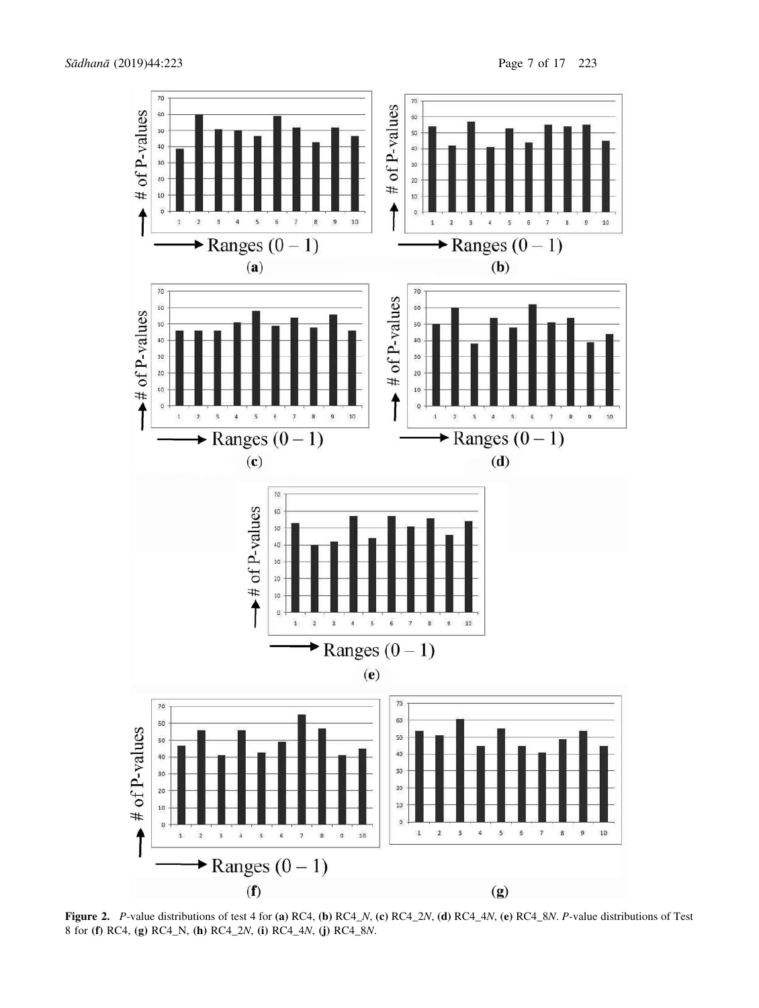

Figure 2. *P*-value distributions of test 4 for (a) RC4, (b) RC4\_*N*, (c) RC4\_2*N*, (d) RC4\_4*N*, (e) RC4\_8*N*. *P*-value distributions of Test 8 for (f) RC4, (g) RC4\_N, (h) RC4\_2*N*, (i) RC4\_4*N*, (j) RC4\_8*N*.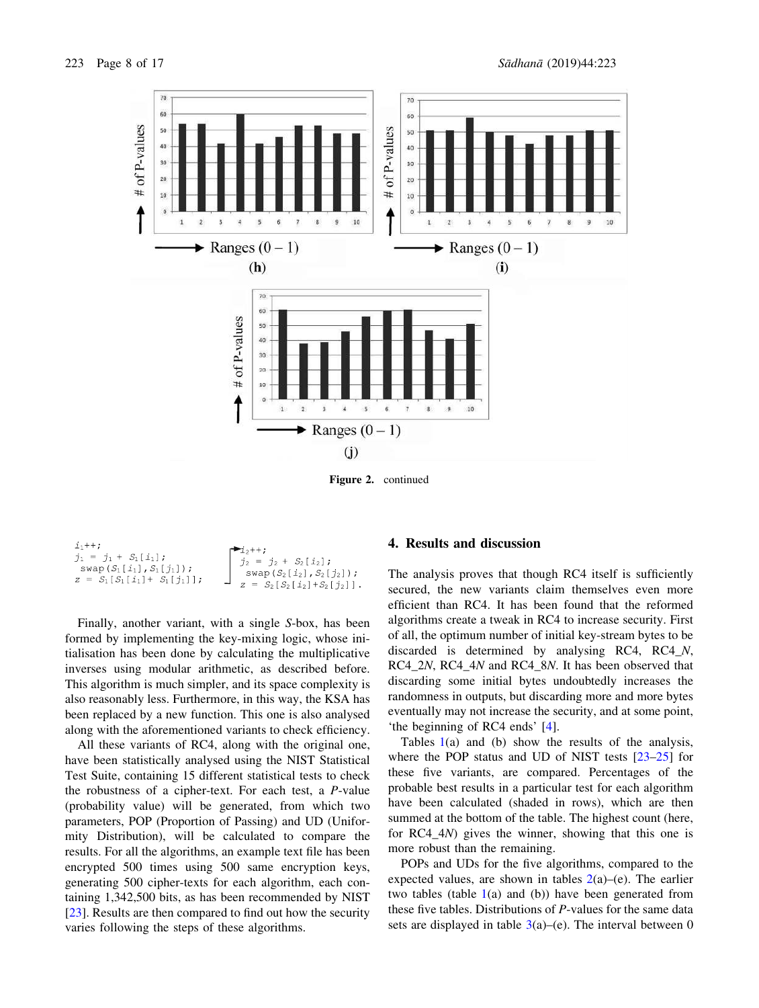

Figure 2. continued

$$
j_1 = j_1 + S_1[i_1];
$$
  
\n
$$
j_2 = j_2 + S_2[i_2];
$$
  
\n
$$
z = S_1[S_1[i_1] + S_1[j_1]);
$$
  
\n
$$
j_2 = j_2 + S_2[i_2];
$$
  
\n
$$
y_{\text{wap}}(S_2[i_2], S_2[j_2]);
$$
  
\n
$$
z = S_3[S_5[i_2] + S_5[j_1]].
$$

Finally, another variant, with a single *S*-box, has been formed by implementing the key-mixing logic, whose initialisation has been done by calculating the multiplicative inverses using modular arithmetic, as described before. This algorithm is much simpler, and its space complexity is also reasonably less. Furthermore, in this way, the KSA has been replaced by a new function. This one is also analysed along with the aforementioned variants to check efficiency.

All these variants of RC4, along with the original one, have been statistically analysed using the NIST Statistical Test Suite, containing 15 different statistical tests to check the robustness of a cipher-text. For each test, a *P*-value (probability value) will be generated, from which two parameters, POP (Proportion of Passing) and UD (Uniformity Distribution), will be calculated to compare the results. For all the algorithms, an example text file has been encrypted 500 times using 500 same encryption keys, generating 500 cipher-texts for each algorithm, each containing 1,342,500 bits, as has been recommended by NIST [23]. Results are then compared to find out how the security varies following the steps of these algorithms.

## 4. Results and discussion

The analysis proves that though RC4 itself is sufficiently secured, the new variants claim themselves even more efficient than RC4. It has been found that the reformed algorithms create a tweak in RC4 to increase security. First of all, the optimum number of initial key-stream bytes to be discarded is determined by analysing RC4, RC4\_*N*, RC4\_2*N*, RC4\_4*N* and RC4\_8*N*. It has been observed that discarding some initial bytes undoubtedly increases the randomness in outputs, but discarding more and more bytes eventually may not increase the security, and at some point, 'the beginning of RC4 ends' [4].

Tables  $1(a)$  and (b) show the results of the analysis, where the POP status and UD of NIST tests [23–25] for these five variants, are compared. Percentages of the probable best results in a particular test for each algorithm have been calculated (shaded in rows), which are then summed at the bottom of the table. The highest count (here, for RC4\_4*N*) gives the winner, showing that this one is more robust than the remaining.

POPs and UDs for the five algorithms, compared to the expected values, are shown in tables  $2(a)$ –(e). The earlier two tables (table  $1(a)$  and (b)) have been generated from these five tables. Distributions of *P*-values for the same data sets are displayed in table  $3(a)$ –(e). The interval between 0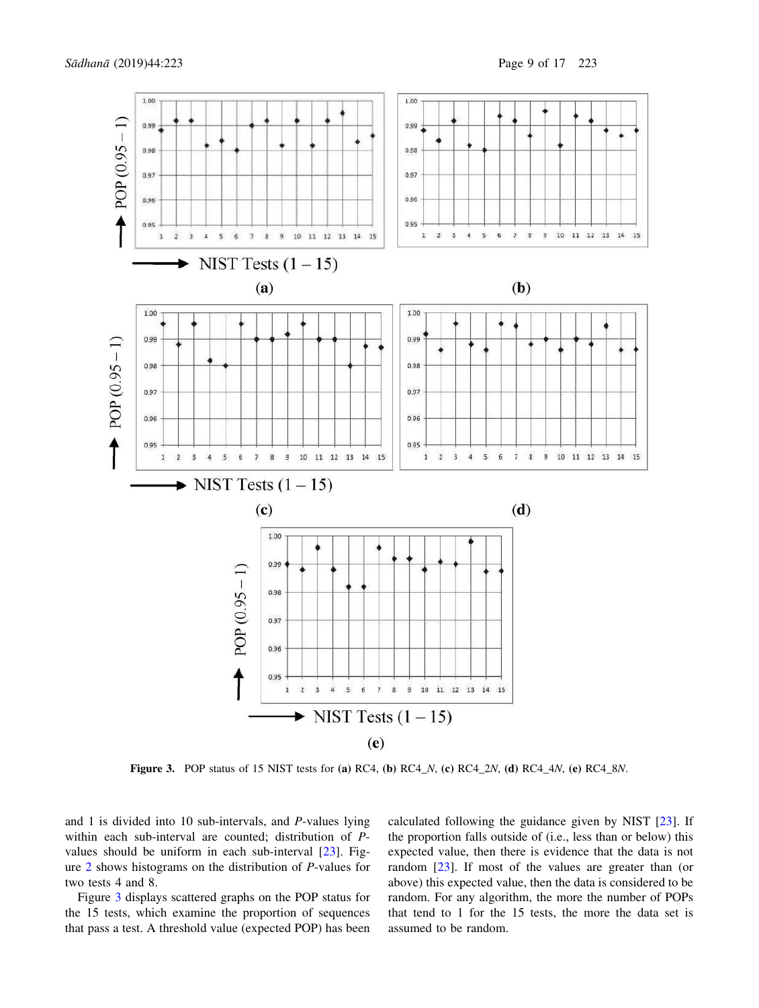

Figure 3. POP status of 15 NIST tests for (a) RC4, (b) RC4\_*N*, (c) RC4\_2*N*, (d) RC4\_4*N*, (e) RC4\_8*N*.

and 1 is divided into 10 sub-intervals, and *P*-values lying within each sub-interval are counted; distribution of *P*values should be uniform in each sub-interval [23]. Figure 2 shows histograms on the distribution of *P*-values for two tests 4 and 8.

Figure 3 displays scattered graphs on the POP status for the 15 tests, which examine the proportion of sequences that pass a test. A threshold value (expected POP) has been calculated following the guidance given by NIST [23]. If the proportion falls outside of (i.e., less than or below) this expected value, then there is evidence that the data is not random [23]. If most of the values are greater than (or above) this expected value, then the data is considered to be random. For any algorithm, the more the number of POPs that tend to 1 for the 15 tests, the more the data set is assumed to be random.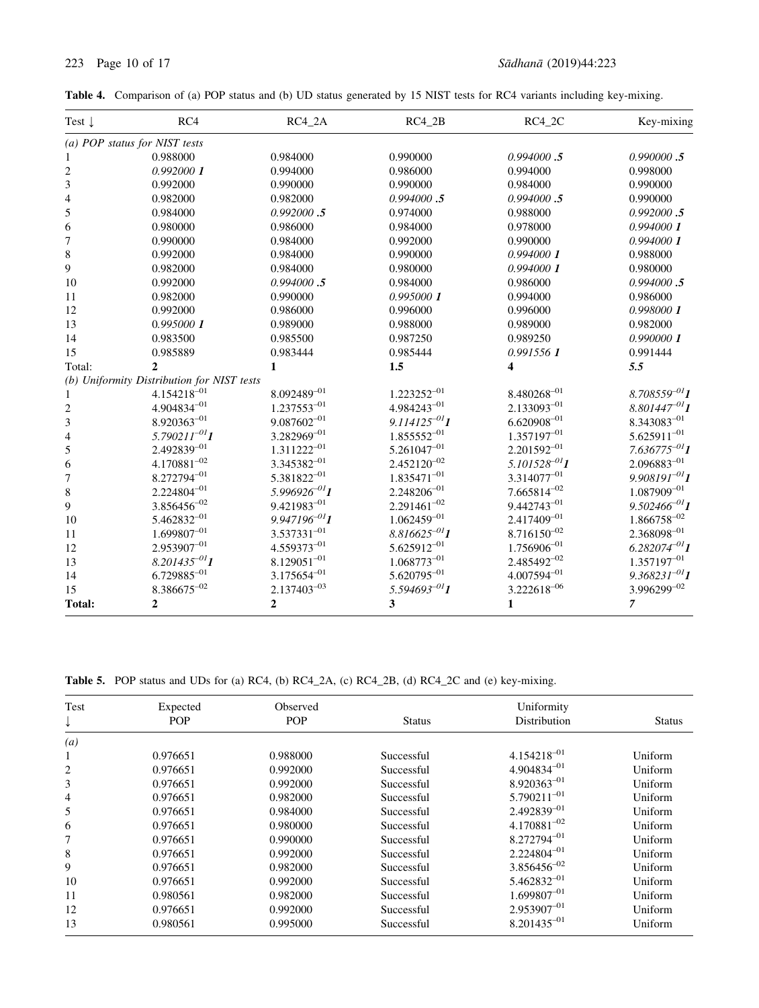## 223 Page 10 of 17 *S*å*dhan*å (2019) 44:223

|  |  |  |  |  | Table 4. Comparison of (a) POP status and (b) UD status generated by 15 NIST tests for RC4 variants including key-mixing. |  |  |  |  |  |  |  |  |
|--|--|--|--|--|---------------------------------------------------------------------------------------------------------------------------|--|--|--|--|--|--|--|--|
|--|--|--|--|--|---------------------------------------------------------------------------------------------------------------------------|--|--|--|--|--|--|--|--|

| Test $\downarrow$       | RC4                                        | $RC4_2A$                  | $RC4_2B$         | $RC4_2C$         | Key-mixing                |
|-------------------------|--------------------------------------------|---------------------------|------------------|------------------|---------------------------|
|                         | (a) POP status for NIST tests              |                           |                  |                  |                           |
|                         | 0.988000                                   | 0.984000                  | 0.990000         | 0.994000.5       | 0.990000.5                |
| 2                       | 0.992000 1                                 | 0.994000                  | 0.986000         | 0.994000         | 0.998000                  |
| 3                       | 0.992000                                   | 0.990000                  | 0.990000         | 0.984000         | 0.990000                  |
| 4                       | 0.982000                                   | 0.982000                  | 0.994000.5       | 0.994000.5       | 0.990000                  |
| 5                       | 0.984000                                   | 0.992000.5                | 0.974000         | 0.988000         | 0.992000.5                |
| 6                       | 0.980000                                   | 0.986000                  | 0.984000         | 0.978000         | 0.994000 1                |
| 7                       | 0.990000                                   | 0.984000                  | 0.992000         | 0.990000         | 0.9940001                 |
| 8                       | 0.992000                                   | 0.984000                  | 0.990000         | $0.994000$ 1     | 0.988000                  |
| 9                       | 0.982000                                   | 0.984000                  | 0.980000         | 0.994000 1       | 0.980000                  |
| 10                      | 0.992000                                   | 0.994000.5                | 0.984000         | 0.986000         | 0.994000.5                |
| 11                      | 0.982000                                   | 0.990000                  | 0.995000 1       | 0.994000         | 0.986000                  |
| 12                      | 0.992000                                   | 0.986000                  | 0.996000         | 0.996000         | 0.998000 1                |
| 13                      | 0.995000 1                                 | 0.989000                  | 0.988000         | 0.989000         | 0.982000                  |
| 14                      | 0.983500                                   | 0.985500                  | 0.987250         | 0.989250         | 0.9900001                 |
| 15                      | 0.985889                                   | 0.983444                  | 0.985444         | 0.9915561        | 0.991444                  |
| Total:                  | $\mathbf{2}$                               | 1                         | 1.5              | 4                | 5.5                       |
|                         | (b) Uniformity Distribution for NIST tests |                           |                  |                  |                           |
| 1                       | $4.154218^{-01}$                           | $8.092489^{-01}$          | $1.223252^{-01}$ | $8.480268^{-01}$ | $8.708559^{-01}$ <b>I</b> |
| $\overline{\mathbf{c}}$ | $4.904834^{-01}$                           | $1.237553^{-01}$          | $4.984243^{-01}$ | $2.133093^{-01}$ | $8.801447^{-01}$ <b>I</b> |
| 3                       | $8.920363^{-01}$                           | $9.087602^{-01}$          | $9.114125^{-01}$ | $6.620908^{-01}$ | $8.343083^{-01}$          |
| 4                       | $5.790211^{-01}$                           | $3.282969^{-01}$          | $1.855552^{-01}$ | $1.357197^{-01}$ | $5.625911^{-01}$          |
| 5                       | $2.492839^{-01}$                           | $1.311222^{-01}$          | $5.261047^{-01}$ | $2.201592^{-01}$ | $7.636775^{-01}$ <b>1</b> |
| 6                       | $4.170881^{-02}$                           | $3.345382^{-01}$          | $2.452120^{-02}$ | $5.101528^{-01}$ | $2.096883^{-01}$          |
| 7                       | $8.272794^{-01}$                           | $5.381822^{-01}$          | $1.835471^{-01}$ | $3.314077^{-01}$ | $9.908191^{-01}$          |
| 8                       | $2.224804^{-01}$                           | 5.996926 <sup>-01</sup> 1 | $2.248206^{-01}$ | $7.665814^{-02}$ | $1.087909^{-01}$          |
| 9                       | $3.856456^{-02}$                           | $9.421983^{-01}$          | $2.291461^{-02}$ | $9.442743^{-01}$ | $9.502466^{-01}$          |
| 10                      | $5.462832^{-01}$                           | $9.947196^{-01}$          | $1.062459^{-01}$ | $2.417409^{-01}$ | $1.866758^{-02}$          |
| 11                      | $1.699807^{-01}$                           | $3.537331^{-01}$          | $8.816625^{-01}$ | $8.716150^{-02}$ | $2.368098^{-01}$          |
| 12                      | $2.953907^{-01}$                           | $4.559373^{-01}$          | $5.625912^{-01}$ | $1.756906^{-01}$ | 6.282074 <sup>-01</sup> 1 |
| 13                      | $8.201435^{-01}$ <b>1</b>                  | $8.129051^{-01}$          | $1.068773^{-01}$ | $2.485492^{-02}$ | $1.357197^{-01}$          |
| 14                      | $6.729885^{-01}$                           | $3.175654^{-01}$          | $5.620795^{-01}$ | $4.007594^{-01}$ | $9.368231^{-01}$          |
| 15                      | $8.386675^{-02}$                           | $2.137403^{-03}$          | $5.594693^{-01}$ | $3.222618^{-06}$ | $3.996299^{-02}$          |
| Total:                  | $\overline{2}$                             | $\overline{2}$            | 3                | 1                | $\overline{7}$            |

Table 5. POP status and UDs for (a) RC4, (b) RC4\_2A, (c) RC4\_2B, (d) RC4\_2C and (e) key-mixing.

| Test<br>Expected<br><b>POP</b><br>↓ |          | Observed<br><b>POP</b> | <b>Status</b> | Uniformity<br>Distribution | <b>Status</b> |  |
|-------------------------------------|----------|------------------------|---------------|----------------------------|---------------|--|
| (a)                                 |          |                        |               |                            |               |  |
| 1                                   | 0.976651 | 0.988000               | Successful    | $4.154218^{-01}$           | Uniform       |  |
| $\overline{2}$                      | 0.976651 | 0.992000               | Successful    | $4.904834^{-01}$           | Uniform       |  |
| 3                                   | 0.976651 | 0.992000               | Successful    | $8.920363^{-01}$           | Uniform       |  |
| 4                                   | 0.976651 | 0.982000               | Successful    | $5.790211^{-01}$           | Uniform       |  |
| 5                                   | 0.976651 | 0.984000               | Successful    | $2.492839^{-01}$           | Uniform       |  |
| 6                                   | 0.976651 | 0.980000               | Successful    | $4.170881^{-02}$           | Uniform       |  |
| 7                                   | 0.976651 | 0.990000               | Successful    | $8.272794^{-01}$           | Uniform       |  |
| 8                                   | 0.976651 | 0.992000               | Successful    | $2.224804^{-01}$           | Uniform       |  |
| 9                                   | 0.976651 | 0.982000               | Successful    | $3.856456^{-02}$           | Uniform       |  |
| 10                                  | 0.976651 | 0.992000               | Successful    | $5.462832^{-01}$           | Uniform       |  |
| 11                                  | 0.980561 | 0.982000               | Successful    | $1.699807^{-01}$           | Uniform       |  |
| 12                                  | 0.976651 | 0.992000               | Successful    | $2.953907^{-01}$           | Uniform       |  |
| 13                                  | 0.980561 | 0.995000               | Successful    | $8.201435^{-01}$           | Uniform       |  |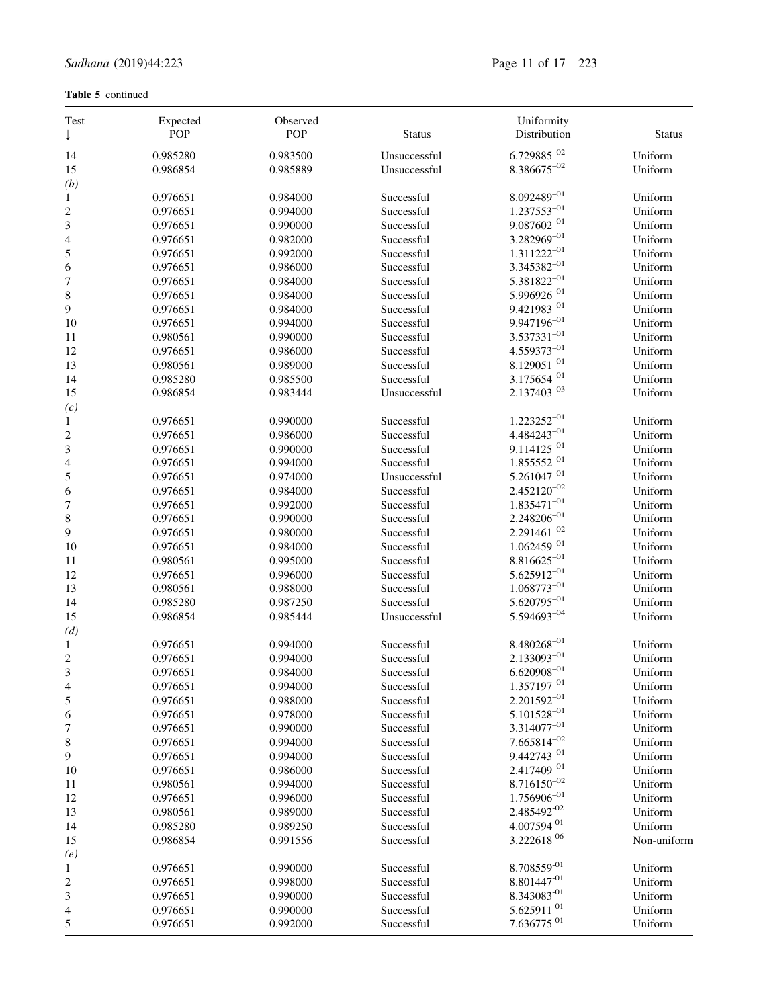## Table 5 continued

| Test                     | Expected             | Observed             |                            | Uniformity                           |                    |
|--------------------------|----------------------|----------------------|----------------------------|--------------------------------------|--------------------|
| $\downarrow$             | POP                  | <b>POP</b>           | <b>Status</b>              | Distribution                         | <b>Status</b>      |
| 14                       | 0.985280             | 0.983500             | Unsuccessful               | $6.729885^{-02}$                     | Uniform            |
| 15                       | 0.986854             | 0.985889             | Unsuccessful               | $8.386675^{-02}$                     | Uniform            |
| (b)                      |                      |                      |                            |                                      |                    |
| 1                        | 0.976651             | 0.984000             | Successful                 | $8.092489^{-01}$                     | Uniform            |
| $\boldsymbol{2}$         | 0.976651             | 0.994000             | Successful                 | $1.237553^{-01}$                     | Uniform            |
| 3                        | 0.976651             | 0.990000             | Successful                 | $9.087602^{-01}$                     | Uniform            |
| $\overline{\mathcal{L}}$ | 0.976651             | 0.982000             | Successful                 | $3.282969^{-01}$                     | Uniform            |
| 5                        | 0.976651             | 0.992000             | Successful                 | $1.311222^{-01}$                     | Uniform            |
| 6                        | 0.976651             | 0.986000             | Successful                 | $3.345382^{-01}$                     | Uniform            |
| $\boldsymbol{7}$         | 0.976651             | 0.984000             | Successful                 | $5.381822^{-01}$                     | Uniform            |
| $\,$ 8 $\,$              | 0.976651             | 0.984000             | Successful                 | $5.996926^{-01}$                     | Uniform            |
| 9                        | 0.976651             | 0.984000             | Successful                 | $9.421983^{-01}$                     | Uniform            |
| $10\,$                   | 0.976651             | 0.994000             | Successful                 | $9.947196^{-01}$<br>$3.537331^{-01}$ | Uniform            |
| 11                       | 0.980561             | 0.990000             | Successful                 | $4.559373^{-01}$                     | Uniform            |
| 12                       | 0.976651             | 0.986000<br>0.989000 | Successful<br>Successful   | $8.129051^{-01}$                     | Uniform<br>Uniform |
| 13                       | 0.980561             |                      |                            | $3.175654^{-01}$                     |                    |
| 14                       | 0.985280<br>0.986854 | 0.985500<br>0.983444 | Successful<br>Unsuccessful | $2.137403^{-03}$                     | Uniform<br>Uniform |
| 15<br>(c)                |                      |                      |                            |                                      |                    |
| $\mathbf{1}$             | 0.976651             | 0.990000             | Successful                 | $1.223252^{-01}$                     | Uniform            |
| $\sqrt{2}$               | 0.976651             | 0.986000             | Successful                 | $4.484243^{-01}$                     | Uniform            |
| $\mathfrak{Z}$           | 0.976651             | 0.990000             | Successful                 | $9.114125^{-01}$                     | Uniform            |
| $\overline{\mathcal{L}}$ | 0.976651             | 0.994000             | Successful                 | $1.855552^{-01}$                     | Uniform            |
| 5                        | 0.976651             | 0.974000             | Unsuccessful               | $5.261047^{-01}$                     | Uniform            |
| 6                        | 0.976651             | 0.984000             | Successful                 | $2.452120^{-02}$                     | Uniform            |
| $\overline{7}$           | 0.976651             | 0.992000             | Successful                 | $1.835471^{-01}$                     | Uniform            |
| $\,$ 8 $\,$              | 0.976651             | 0.990000             | Successful                 | $2.248206^{-01}$                     | Uniform            |
| 9                        | 0.976651             | 0.980000             | Successful                 | $2.291461^{-02}$                     | Uniform            |
| 10                       | 0.976651             | 0.984000             | Successful                 | $1.062459^{-01}$                     | Uniform            |
| 11                       | 0.980561             | 0.995000             | Successful                 | $8.816625^{-01}$                     | Uniform            |
| 12                       | 0.976651             | 0.996000             | Successful                 | $5.625912^{-01}$                     | Uniform            |
| 13                       | 0.980561             | 0.988000             | Successful                 | $1.068773^{-01}$                     | Uniform            |
| 14                       | 0.985280             | 0.987250             | Successful                 | $5.620795^{-01}$                     | Uniform            |
| 15                       | 0.986854             | 0.985444             | Unsuccessful               | $5.594693^{-04}$                     | Uniform            |
| (d)                      |                      |                      |                            |                                      |                    |
| $\mathbf{1}$             | 0.976651             | 0.994000             | Successful                 | $8.480268^{-01}$                     | Uniform            |
| $\overline{\mathbf{c}}$  | 0.976651             | 0.994000             | Successful                 | $2.133093^{-01}$                     | Uniform            |
| 3                        | 0.976651             | 0.984000             | Successful                 | $6.620908^{-01}$                     | Uniform            |
| 4                        | 0.976651             | 0.994000             | Successful                 | $1.357197^{-01}$                     | Uniform            |
| 5                        | 0.976651             | 0.988000             | Successful                 | $2.201592^{-01}$                     | Uniform            |
| 6                        | 0.976651             | 0.978000             | Successful                 | $5.101528^{-01}$                     | Uniform            |
| 7                        | 0.976651             | 0.990000             | Successful                 | $3.314077^{-01}$                     | Uniform            |
| 8                        | 0.976651             | 0.994000             | Successful                 | $7.665814^{-02}$                     | Uniform            |
| $\boldsymbol{9}$         | 0.976651             | 0.994000             | Successful                 | $9.442743^{-01}$                     | Uniform            |
| 10                       | 0.976651             | 0.986000             | Successful                 | $2.417409^{-01}$                     | Uniform            |
| 11                       | 0.980561             | 0.994000             | Successful                 | $8.716150^{-02}$                     | Uniform            |
| 12                       | 0.976651             | 0.996000             | Successful                 | $1.756906^{-01}$                     | Uniform            |
| 13                       | 0.980561             | 0.989000             | Successful                 | 2.485492-02                          | Uniform            |
| 14                       | 0.985280             | 0.989250             | Successful                 | $4.007594^{-01}$                     | Uniform            |
| 15                       | 0.986854             | 0.991556             | Successful                 | 3.222618-06                          | Non-uniform        |
| (e)                      |                      |                      |                            | 8.708559-01                          |                    |
| 1                        | 0.976651             | 0.990000             | Successful                 | $8.801447^{-01}$                     | Uniform            |
| $\boldsymbol{2}$         | 0.976651             | 0.998000             | Successful                 | 8.343083-01                          | Uniform            |
| 3                        | 0.976651             | 0.990000             | Successful                 | $5.625911^{-01}$                     | Uniform            |
| 4<br>$\sqrt{5}$          | 0.976651<br>0.976651 | 0.990000<br>0.992000 | Successful<br>Successful   | $7.636775^{-01}$                     | Uniform<br>Uniform |
|                          |                      |                      |                            |                                      |                    |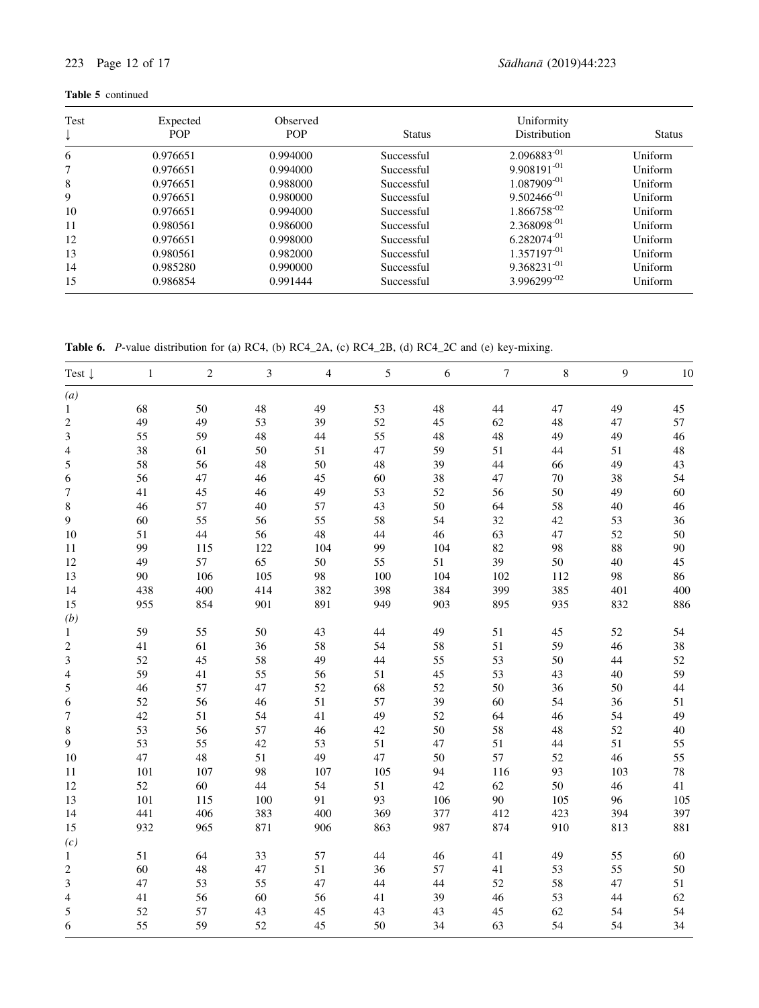## Table 5 continued

| Test | Expected<br><b>POP</b> | Observed<br><b>POP</b> | <b>Status</b> | Uniformity<br>Distribution | <b>Status</b> |
|------|------------------------|------------------------|---------------|----------------------------|---------------|
| ₩    |                        |                        |               |                            |               |
| 6    | 0.976651               | 0.994000               | Successful    | $2.096883^{-01}$           | Uniform       |
| 7    | 0.976651               | 0.994000               | Successful    | $9.908191^{-01}$           | Uniform       |
| 8    | 0.976651               | 0.988000               | Successful    | $1.087909^{-01}$           | Uniform       |
| 9    | 0.976651               | 0.980000               | Successful    | $9.502466^{-01}$           | Uniform       |
| 10   | 0.976651               | 0.994000               | Successful    | $1.866758^{-02}$           | Uniform       |
| 11   | 0.980561               | 0.986000               | Successful    | 2.368098-01                | Uniform       |
| 12   | 0.976651               | 0.998000               | Successful    | $6.282074^{-01}$           | Uniform       |
| 13   | 0.980561               | 0.982000               | Successful    | $1.357197^{-01}$           | Uniform       |
| 14   | 0.985280               | 0.990000               | Successful    | $9.368231^{-01}$           | Uniform       |
| 15   | 0.986854               | 0.991444               | Successful    | $3.996299^{-02}$           | Uniform       |

Table 6. *P*-value distribution for (a) RC4, (b) RC4\_2A, (c) RC4\_2B, (d) RC4\_2C and (e) key-mixing.

| Test $\downarrow$        | $\mathbf{1}$ | $\overline{c}$ | 3   | $\overline{4}$ | 5   | 6   | $\overline{7}$ | $\,$ 8 $\,$ | 9   | 10  |
|--------------------------|--------------|----------------|-----|----------------|-----|-----|----------------|-------------|-----|-----|
| (a)                      |              |                |     |                |     |     |                |             |     |     |
| $\mathbf{1}$             | 68           | 50             | 48  | 49             | 53  | 48  | 44             | 47          | 49  | 45  |
| $\overline{c}$           | 49           | 49             | 53  | 39             | 52  | 45  | 62             | 48          | 47  | 57  |
| 3                        | 55           | 59             | 48  | $44\,$         | 55  | 48  | 48             | 49          | 49  | 46  |
| $\overline{\mathcal{L}}$ | 38           | 61             | 50  | 51             | 47  | 59  | 51             | 44          | 51  | 48  |
| 5                        | 58           | 56             | 48  | 50             | 48  | 39  | 44             | 66          | 49  | 43  |
| $\sqrt{6}$               | 56           | 47             | 46  | 45             | 60  | 38  | $47\,$         | 70          | 38  | 54  |
| 7                        | 41           | 45             | 46  | 49             | 53  | 52  | 56             | 50          | 49  | 60  |
| $\,$ 8 $\,$              | 46           | 57             | 40  | 57             | 43  | 50  | 64             | 58          | 40  | 46  |
| 9                        | 60           | 55             | 56  | 55             | 58  | 54  | 32             | 42          | 53  | 36  |
| 10                       | 51           | 44             | 56  | 48             | 44  | 46  | 63             | 47          | 52  | 50  |
| 11                       | 99           | 115            | 122 | 104            | 99  | 104 | 82             | 98          | 88  | 90  |
| 12                       | 49           | 57             | 65  | 50             | 55  | 51  | 39             | 50          | 40  | 45  |
| 13                       | 90           | 106            | 105 | 98             | 100 | 104 | 102            | 112         | 98  | 86  |
| 14                       | 438          | 400            | 414 | 382            | 398 | 384 | 399            | 385         | 401 | 400 |
| 15                       | 955          | 854            | 901 | 891            | 949 | 903 | 895            | 935         | 832 | 886 |
| (b)                      |              |                |     |                |     |     |                |             |     |     |
| $\mathbf{1}$             | 59           | 55             | 50  | 43             | 44  | 49  | 51             | 45          | 52  | 54  |
| $\overline{c}$           | 41           | 61             | 36  | 58             | 54  | 58  | 51             | 59          | 46  | 38  |
| 3                        | 52           | 45             | 58  | 49             | 44  | 55  | 53             | 50          | 44  | 52  |
| 4                        | 59           | 41             | 55  | 56             | 51  | 45  | 53             | 43          | 40  | 59  |
| 5                        | 46           | 57             | 47  | 52             | 68  | 52  | 50             | 36          | 50  | 44  |
| 6                        | 52           | 56             | 46  | 51             | 57  | 39  | 60             | 54          | 36  | 51  |
| $\boldsymbol{7}$         | 42           | 51             | 54  | 41             | 49  | 52  | 64             | 46          | 54  | 49  |
| $\,$ 8 $\,$              | 53           | 56             | 57  | 46             | 42  | 50  | 58             | $48\,$      | 52  | 40  |
| 9                        | 53           | 55             | 42  | 53             | 51  | 47  | 51             | 44          | 51  | 55  |
| $10\,$                   | 47           | 48             | 51  | 49             | 47  | 50  | 57             | 52          | 46  | 55  |
| 11                       | 101          | 107            | 98  | 107            | 105 | 94  | 116            | 93          | 103 | 78  |
| 12                       | 52           | 60             | 44  | 54             | 51  | 42  | 62             | 50          | 46  | 41  |
| 13                       | 101          | 115            | 100 | 91             | 93  | 106 | 90             | 105         | 96  | 105 |
| 14                       | 441          | 406            | 383 | 400            | 369 | 377 | 412            | 423         | 394 | 397 |
| 15                       | 932          | 965            | 871 | 906            | 863 | 987 | 874            | 910         | 813 | 881 |
| (c)                      |              |                |     |                |     |     |                |             |     |     |
| 1                        | 51           | 64             | 33  | 57             | 44  | 46  | 41             | 49          | 55  | 60  |
| $\sqrt{2}$               | 60           | 48             | 47  | 51             | 36  | 57  | 41             | 53          | 55  | 50  |
| 3                        | 47           | 53             | 55  | 47             | 44  | 44  | 52             | 58          | 47  | 51  |
| 4                        | 41           | 56             | 60  | 56             | 41  | 39  | 46             | 53          | 44  | 62  |
| 5                        | 52           | 57             | 43  | 45             | 43  | 43  | 45             | 62          | 54  | 54  |
| 6                        | 55           | 59             | 52  | 45             | 50  | 34  | 63             | 54          | 54  | 34  |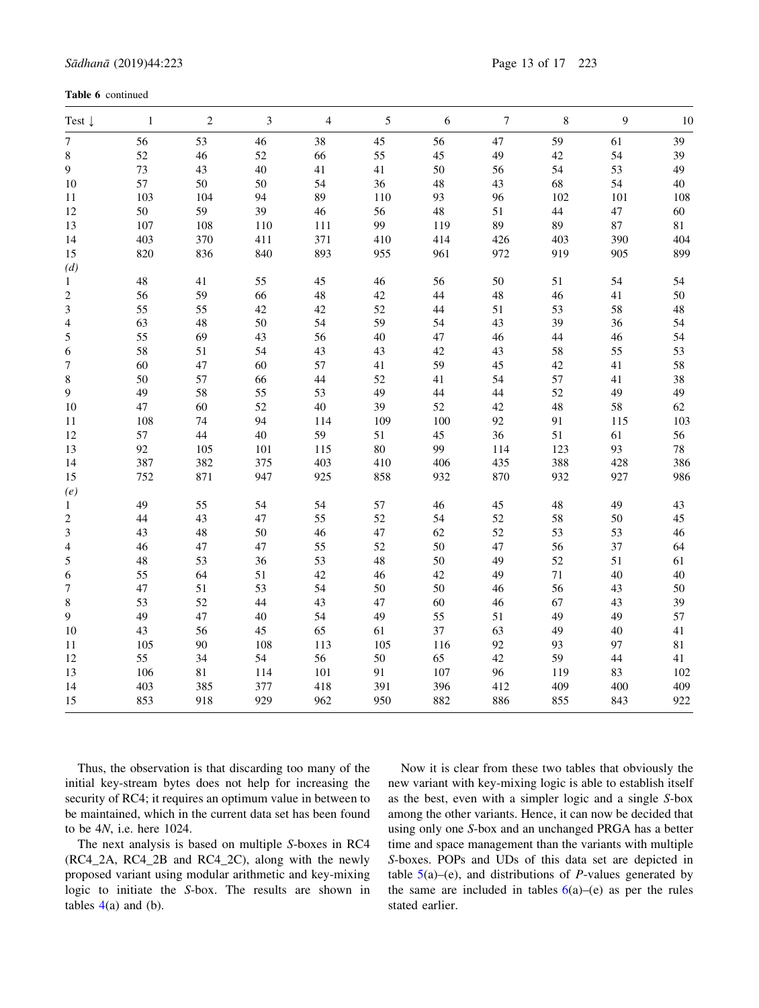| <b>Table 6</b> continued |  |
|--------------------------|--|
|--------------------------|--|

| Test $\downarrow$        | 1   | $\boldsymbol{2}$ | 3      | 4   | 5      | 6   | 7   | 8   | 9   | 10  |
|--------------------------|-----|------------------|--------|-----|--------|-----|-----|-----|-----|-----|
| 7                        | 56  | 53               | 46     | 38  | 45     | 56  | 47  | 59  | 61  | 39  |
| 8                        | 52  | 46               | 52     | 66  | 55     | 45  | 49  | 42  | 54  | 39  |
| 9                        | 73  | 43               | 40     | 41  | 41     | 50  | 56  | 54  | 53  | 49  |
| 10                       | 57  | 50               | 50     | 54  | 36     | 48  | 43  | 68  | 54  | 40  |
| $11$                     | 103 | 104              | 94     | 89  | 110    | 93  | 96  | 102 | 101 | 108 |
| $12\,$                   | 50  | 59               | 39     | 46  | 56     | 48  | 51  | 44  | 47  | 60  |
| 13                       | 107 | 108              | 110    | 111 | 99     | 119 | 89  | 89  | 87  | 81  |
| 14                       | 403 | 370              | 411    | 371 | 410    | 414 | 426 | 403 | 390 | 404 |
| 15                       | 820 | 836              | 840    | 893 | 955    | 961 | 972 | 919 | 905 | 899 |
| (d)                      |     |                  |        |     |        |     |     |     |     |     |
| $\mathbf{1}$             | 48  | 41               | 55     | 45  | 46     | 56  | 50  | 51  | 54  | 54  |
| $\overline{\mathbf{c}}$  | 56  | 59               | 66     | 48  | $42\,$ | 44  | 48  | 46  | 41  | 50  |
| 3                        | 55  | 55               | 42     | 42  | 52     | 44  | 51  | 53  | 58  | 48  |
| $\overline{\mathcal{L}}$ | 63  | 48               | 50     | 54  | 59     | 54  | 43  | 39  | 36  | 54  |
| 5                        | 55  | 69               | 43     | 56  | 40     | 47  | 46  | 44  | 46  | 54  |
| 6                        | 58  | 51               | 54     | 43  | 43     | 42  | 43  | 58  | 55  | 53  |
| $\overline{7}$           | 60  | $47\,$           | 60     | 57  | 41     | 59  | 45  | 42  | 41  | 58  |
| 8                        | 50  | 57               | 66     | 44  | 52     | 41  | 54  | 57  | 41  | 38  |
| 9                        | 49  | 58               | 55     | 53  | 49     | 44  | 44  | 52  | 49  | 49  |
| 10                       | 47  | 60               | 52     | 40  | 39     | 52  | 42  | 48  | 58  | 62  |
| 11                       | 108 | 74               | 94     | 114 | 109    | 100 | 92  | 91  | 115 | 103 |
| 12                       | 57  | 44               | $40\,$ | 59  | 51     | 45  | 36  | 51  | 61  | 56  |
| 13                       | 92  | 105              | 101    | 115 | 80     | 99  | 114 | 123 | 93  | 78  |
| 14                       | 387 | 382              | 375    | 403 | 410    | 406 | 435 | 388 | 428 | 386 |
| 15                       | 752 | 871              | 947    | 925 | 858    | 932 | 870 | 932 | 927 | 986 |
| (e)                      |     |                  |        |     |        |     |     |     |     |     |
| $\mathbf{1}$             | 49  | 55               | 54     | 54  | 57     | 46  | 45  | 48  | 49  | 43  |
| $\overline{\mathbf{c}}$  | 44  | 43               | 47     | 55  | 52     | 54  | 52  | 58  | 50  | 45  |
| 3                        | 43  | 48               | 50     | 46  | 47     | 62  | 52  | 53  | 53  | 46  |
| $\overline{\mathcal{L}}$ | 46  | 47               | 47     | 55  | 52     | 50  | 47  | 56  | 37  | 64  |
| 5                        | 48  | 53               | 36     | 53  | 48     | 50  | 49  | 52  | 51  | 61  |
| 6                        | 55  | 64               | 51     | 42  | 46     | 42  | 49  | 71  | 40  | 40  |
| $\overline{7}$           | 47  | 51               | 53     | 54  | 50     | 50  | 46  | 56  | 43  | 50  |
| 8                        | 53  | 52               | 44     | 43  | 47     | 60  | 46  | 67  | 43  | 39  |
| 9                        | 49  | 47               | 40     | 54  | 49     | 55  | 51  | 49  | 49  | 57  |
| 10                       | 43  | 56               | 45     | 65  | 61     | 37  | 63  | 49  | 40  | 41  |
| $11\,$                   | 105 | 90               | 108    | 113 | 105    | 116 | 92  | 93  | 97  | 81  |
| 12                       | 55  | 34               | 54     | 56  | 50     | 65  | 42  | 59  | 44  | 41  |
| 13                       | 106 | 81               | 114    | 101 | 91     | 107 | 96  | 119 | 83  | 102 |
| 14                       | 403 | 385              | 377    | 418 | 391    | 396 | 412 | 409 | 400 | 409 |
| 15                       | 853 | 918              | 929    | 962 | 950    | 882 | 886 | 855 | 843 | 922 |

Thus, the observation is that discarding too many of the initial key-stream bytes does not help for increasing the security of RC4; it requires an optimum value in between to be maintained, which in the current data set has been found to be 4*N*, i.e. here 1024.

The next analysis is based on multiple *S*-boxes in RC4 (RC4\_2A, RC4\_2B and RC4\_2C), along with the newly proposed variant using modular arithmetic and key-mixing logic to initiate the *S*-box. The results are shown in tables  $4(a)$  and (b).

Now it is clear from these two tables that obviously the new variant with key-mixing logic is able to establish itself as the best, even with a simpler logic and a single *S*-box among the other variants. Hence, it can now be decided that using only one *S*-box and an unchanged PRGA has a better time and space management than the variants with multiple *S*-boxes. POPs and UDs of this data set are depicted in table  $5(a)$ –(e), and distributions of *P*-values generated by the same are included in tables  $6(a)$ –(e) as per the rules stated earlier.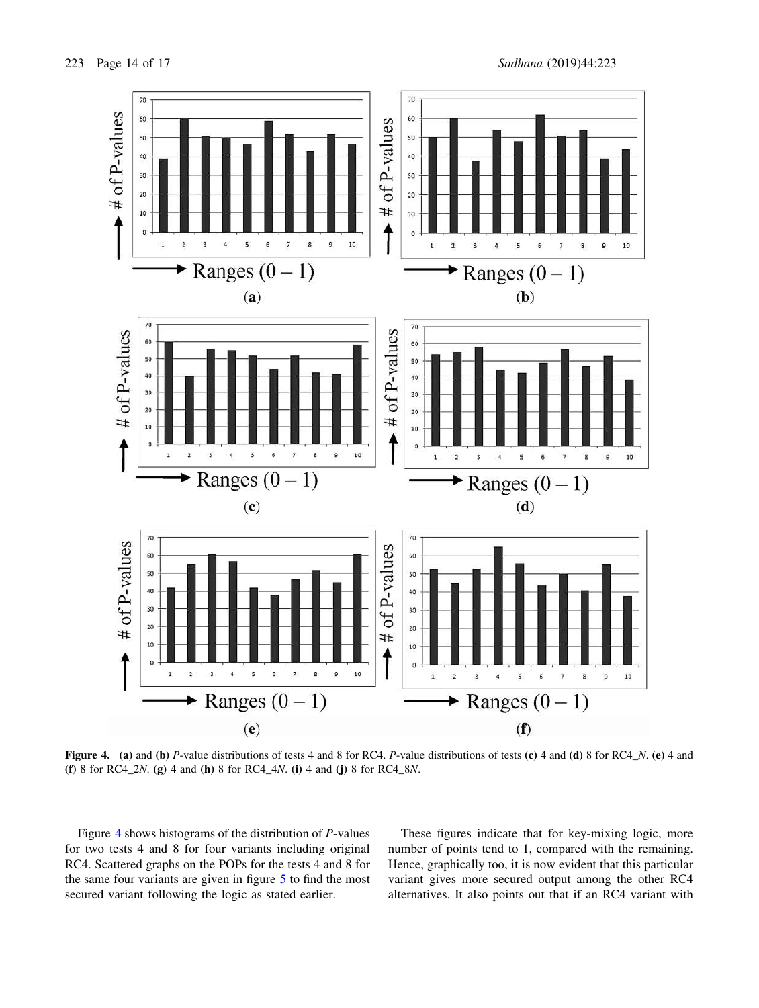

Figure 4. (a) and (b) *P*-value distributions of tests 4 and 8 for RC4. *P*-value distributions of tests (c) 4 and (d) 8 for RC4\_*N*. (e) 4 and (f) 8 for RC4\_2*N*. (g) 4 and (h) 8 for RC4\_4*N*. (i) 4 and (j) 8 for RC4\_8*N*.

Figure 4 shows histograms of the distribution of *P*-values for two tests 4 and 8 for four variants including original RC4. Scattered graphs on the POPs for the tests 4 and 8 for the same four variants are given in figure 5 to find the most secured variant following the logic as stated earlier.

These figures indicate that for key-mixing logic, more number of points tend to 1, compared with the remaining. Hence, graphically too, it is now evident that this particular variant gives more secured output among the other RC4 alternatives. It also points out that if an RC4 variant with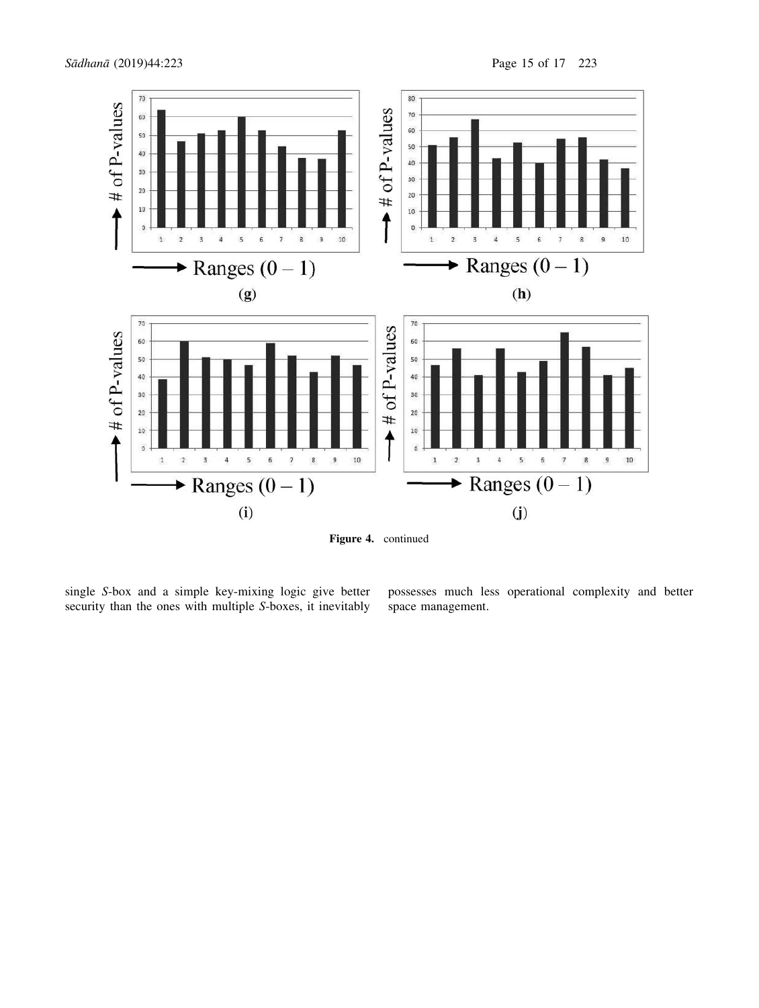

Figure 4. continued

single *S*-box and a simple key-mixing logic give better security than the ones with multiple *S*-boxes, it inevitably

possesses much less operational complexity and better space management.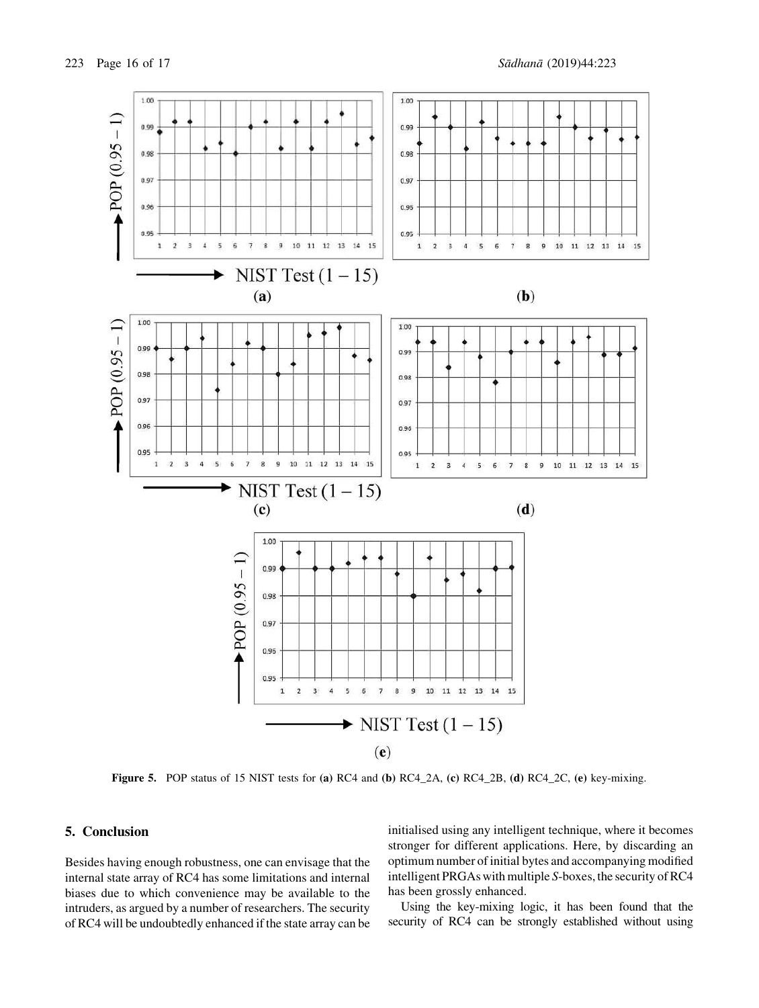

Figure 5. POP status of 15 NIST tests for (a) RC4 and (b) RC4\_2A, (c) RC4\_2B, (d) RC4\_2C, (e) key-mixing.

## 5. Conclusion

Besides having enough robustness, one can envisage that the internal state array of RC4 has some limitations and internal biases due to which convenience may be available to the intruders, as argued by a number of researchers. The security of RC4 will be undoubtedly enhanced if the state array can be initialised using any intelligent technique, where it becomes stronger for different applications. Here, by discarding an optimum number of initial bytes and accompanying modified intelligent PRGAs with multiple *S*-boxes, the security of RC4 has been grossly enhanced.

Using the key-mixing logic, it has been found that the security of RC4 can be strongly established without using